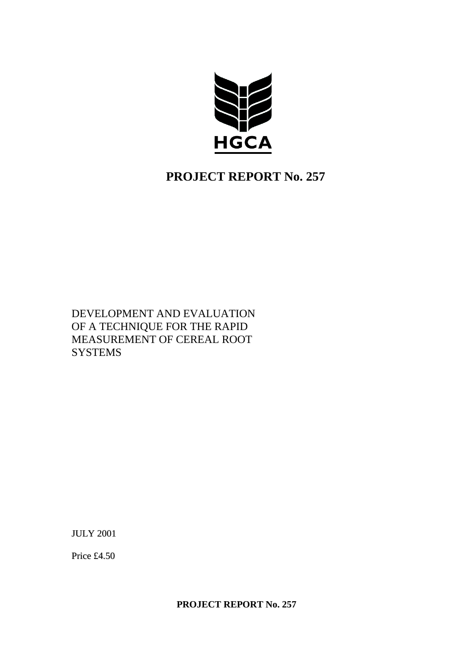

# **PROJECT REPORT No. 257**

DEVELOPMENT AND EVALUATION OF A TECHNIQUE FOR THE RAPID MEASUREMENT OF CEREAL ROOT **SYSTEMS** 

JULY 2001

Price £4.50

**PROJECT REPORT No. 257**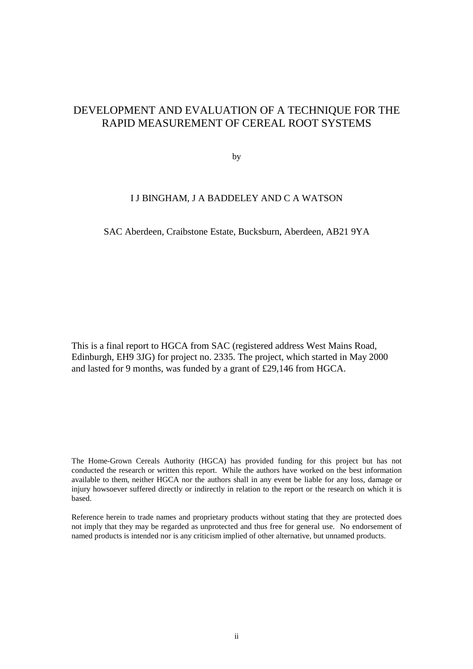# DEVELOPMENT AND EVALUATION OF A TECHNIQUE FOR THE RAPID MEASUREMENT OF CEREAL ROOT SYSTEMS

by

# I J BINGHAM, J A BADDELEY AND C A WATSON

## SAC Aberdeen, Craibstone Estate, Bucksburn, Aberdeen, AB21 9YA

This is a final report to HGCA from SAC (registered address West Mains Road, Edinburgh, EH9 3JG) for project no. 2335. The project, which started in May 2000 and lasted for 9 months, was funded by a grant of £29,146 from HGCA.

The Home-Grown Cereals Authority (HGCA) has provided funding for this project but has not conducted the research or written this report. While the authors have worked on the best information available to them, neither HGCA nor the authors shall in any event be liable for any loss, damage or injury howsoever suffered directly or indirectly in relation to the report or the research on which it is based.

Reference herein to trade names and proprietary products without stating that they are protected does not imply that they may be regarded as unprotected and thus free for general use. No endorsement of named products is intended nor is any criticism implied of other alternative, but unnamed products.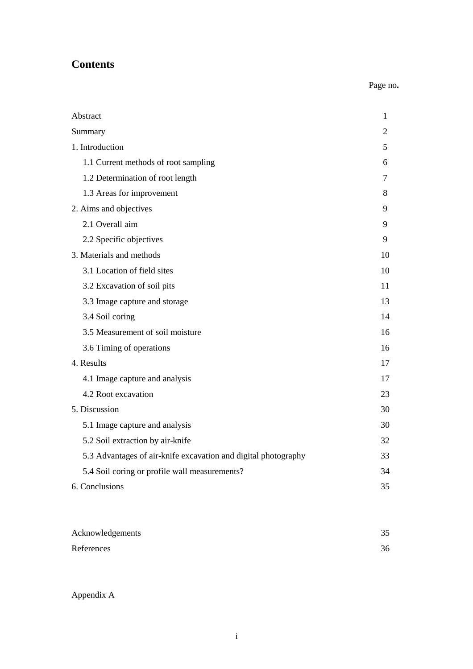# **Contents**

# Page no**.**

| Abstract                                                       | 1  |
|----------------------------------------------------------------|----|
| Summary                                                        | 2  |
| 1. Introduction                                                | 5  |
| 1.1 Current methods of root sampling                           | 6  |
| 1.2 Determination of root length                               | 7  |
| 1.3 Areas for improvement                                      | 8  |
| 2. Aims and objectives                                         | 9  |
| 2.1 Overall aim                                                | 9  |
| 2.2 Specific objectives                                        | 9  |
| 3. Materials and methods                                       | 10 |
| 3.1 Location of field sites                                    | 10 |
| 3.2 Excavation of soil pits                                    | 11 |
| 3.3 Image capture and storage                                  | 13 |
| 3.4 Soil coring                                                | 14 |
| 3.5 Measurement of soil moisture                               | 16 |
| 3.6 Timing of operations                                       | 16 |
| 4. Results                                                     | 17 |
| 4.1 Image capture and analysis                                 | 17 |
| 4.2 Root excavation                                            | 23 |
| 5. Discussion                                                  | 30 |
| 5.1 Image capture and analysis                                 | 30 |
| 5.2 Soil extraction by air-knife                               | 32 |
| 5.3 Advantages of air-knife excavation and digital photography | 33 |
| 5.4 Soil coring or profile wall measurements?                  | 34 |
| 6. Conclusions                                                 | 35 |

| Acknowledgements | 35 |
|------------------|----|
| References       | 36 |

Appendix A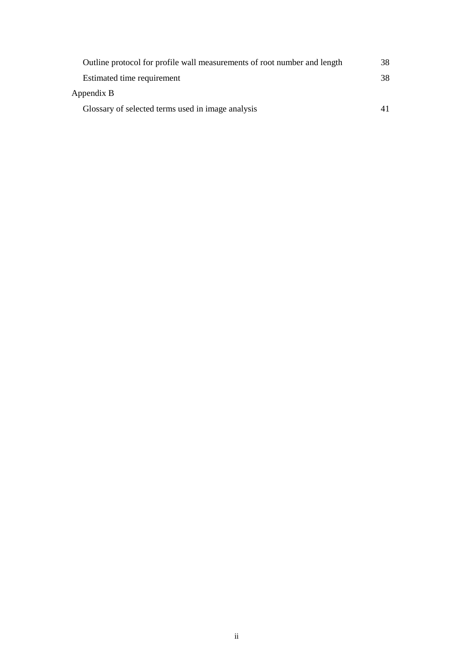| Outline protocol for profile wall measurements of root number and length | 38 |
|--------------------------------------------------------------------------|----|
| Estimated time requirement                                               | 38 |
| Appendix B                                                               |    |
| Glossary of selected terms used in image analysis                        |    |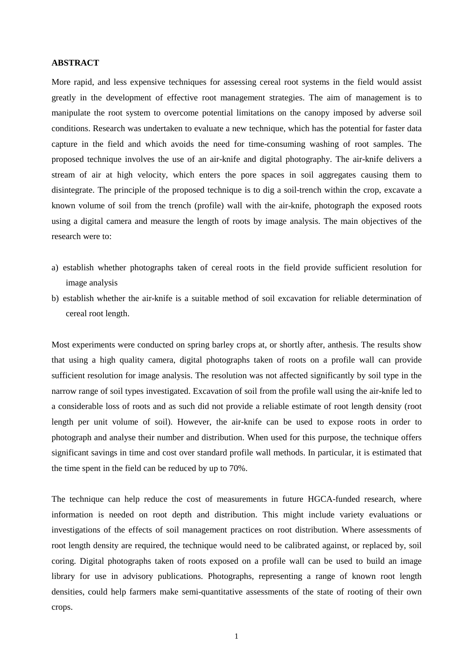#### **ABSTRACT**

More rapid, and less expensive techniques for assessing cereal root systems in the field would assist greatly in the development of effective root management strategies. The aim of management is to manipulate the root system to overcome potential limitations on the canopy imposed by adverse soil conditions. Research was undertaken to evaluate a new technique, which has the potential for faster data capture in the field and which avoids the need for time-consuming washing of root samples. The proposed technique involves the use of an air-knife and digital photography. The air-knife delivers a stream of air at high velocity, which enters the pore spaces in soil aggregates causing them to disintegrate. The principle of the proposed technique is to dig a soil-trench within the crop, excavate a known volume of soil from the trench (profile) wall with the air-knife, photograph the exposed roots using a digital camera and measure the length of roots by image analysis. The main objectives of the research were to:

- a) establish whether photographs taken of cereal roots in the field provide sufficient resolution for image analysis
- b) establish whether the air-knife is a suitable method of soil excavation for reliable determination of cereal root length.

Most experiments were conducted on spring barley crops at, or shortly after, anthesis. The results show that using a high quality camera, digital photographs taken of roots on a profile wall can provide sufficient resolution for image analysis. The resolution was not affected significantly by soil type in the narrow range of soil types investigated. Excavation of soil from the profile wall using the air-knife led to a considerable loss of roots and as such did not provide a reliable estimate of root length density (root length per unit volume of soil). However, the air-knife can be used to expose roots in order to photograph and analyse their number and distribution. When used for this purpose, the technique offers significant savings in time and cost over standard profile wall methods. In particular, it is estimated that the time spent in the field can be reduced by up to 70%.

The technique can help reduce the cost of measurements in future HGCA-funded research, where information is needed on root depth and distribution. This might include variety evaluations or investigations of the effects of soil management practices on root distribution. Where assessments of root length density are required, the technique would need to be calibrated against, or replaced by, soil coring. Digital photographs taken of roots exposed on a profile wall can be used to build an image library for use in advisory publications. Photographs, representing a range of known root length densities, could help farmers make semi-quantitative assessments of the state of rooting of their own crops.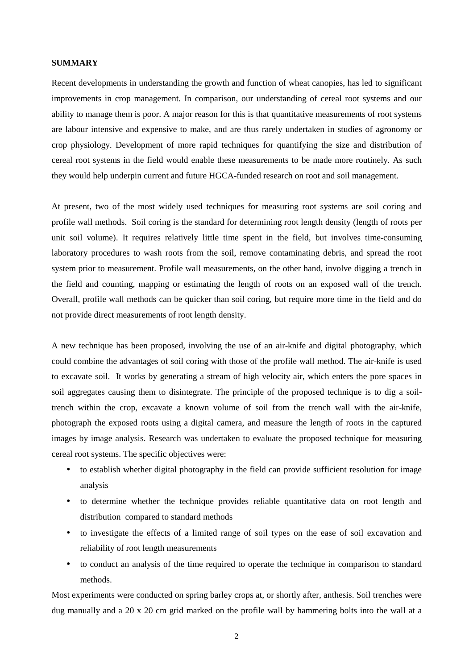#### **SUMMARY**

Recent developments in understanding the growth and function of wheat canopies, has led to significant improvements in crop management. In comparison, our understanding of cereal root systems and our ability to manage them is poor. A major reason for this is that quantitative measurements of root systems are labour intensive and expensive to make, and are thus rarely undertaken in studies of agronomy or crop physiology. Development of more rapid techniques for quantifying the size and distribution of cereal root systems in the field would enable these measurements to be made more routinely. As such they would help underpin current and future HGCA-funded research on root and soil management.

At present, two of the most widely used techniques for measuring root systems are soil coring and profile wall methods. Soil coring is the standard for determining root length density (length of roots per unit soil volume). It requires relatively little time spent in the field, but involves time-consuming laboratory procedures to wash roots from the soil, remove contaminating debris, and spread the root system prior to measurement. Profile wall measurements, on the other hand, involve digging a trench in the field and counting, mapping or estimating the length of roots on an exposed wall of the trench. Overall, profile wall methods can be quicker than soil coring, but require more time in the field and do not provide direct measurements of root length density.

A new technique has been proposed, involving the use of an air-knife and digital photography, which could combine the advantages of soil coring with those of the profile wall method. The air-knife is used to excavate soil. It works by generating a stream of high velocity air, which enters the pore spaces in soil aggregates causing them to disintegrate. The principle of the proposed technique is to dig a soiltrench within the crop, excavate a known volume of soil from the trench wall with the air-knife, photograph the exposed roots using a digital camera, and measure the length of roots in the captured images by image analysis. Research was undertaken to evaluate the proposed technique for measuring cereal root systems. The specific objectives were:

- to establish whether digital photography in the field can provide sufficient resolution for image analysis
- to determine whether the technique provides reliable quantitative data on root length and distribution compared to standard methods
- to investigate the effects of a limited range of soil types on the ease of soil excavation and reliability of root length measurements
- to conduct an analysis of the time required to operate the technique in comparison to standard methods.

Most experiments were conducted on spring barley crops at, or shortly after, anthesis. Soil trenches were dug manually and a 20 x 20 cm grid marked on the profile wall by hammering bolts into the wall at a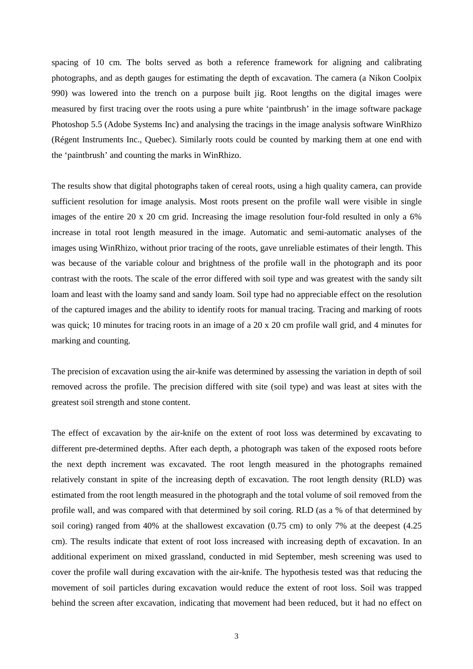spacing of 10 cm. The bolts served as both a reference framework for aligning and calibrating photographs, and as depth gauges for estimating the depth of excavation. The camera (a Nikon Coolpix 990) was lowered into the trench on a purpose built jig. Root lengths on the digital images were measured by first tracing over the roots using a pure white 'paintbrush' in the image software package Photoshop 5.5 (Adobe Systems Inc) and analysing the tracings in the image analysis software WinRhizo (Régent Instruments Inc., Quebec). Similarly roots could be counted by marking them at one end with the 'paintbrush' and counting the marks in WinRhizo.

The results show that digital photographs taken of cereal roots, using a high quality camera, can provide sufficient resolution for image analysis. Most roots present on the profile wall were visible in single images of the entire 20 x 20 cm grid. Increasing the image resolution four-fold resulted in only a 6% increase in total root length measured in the image. Automatic and semi-automatic analyses of the images using WinRhizo, without prior tracing of the roots, gave unreliable estimates of their length. This was because of the variable colour and brightness of the profile wall in the photograph and its poor contrast with the roots. The scale of the error differed with soil type and was greatest with the sandy silt loam and least with the loamy sand and sandy loam. Soil type had no appreciable effect on the resolution of the captured images and the ability to identify roots for manual tracing. Tracing and marking of roots was quick; 10 minutes for tracing roots in an image of a 20 x 20 cm profile wall grid, and 4 minutes for marking and counting.

The precision of excavation using the air-knife was determined by assessing the variation in depth of soil removed across the profile. The precision differed with site (soil type) and was least at sites with the greatest soil strength and stone content.

The effect of excavation by the air-knife on the extent of root loss was determined by excavating to different pre-determined depths. After each depth, a photograph was taken of the exposed roots before the next depth increment was excavated. The root length measured in the photographs remained relatively constant in spite of the increasing depth of excavation. The root length density (RLD) was estimated from the root length measured in the photograph and the total volume of soil removed from the profile wall, and was compared with that determined by soil coring. RLD (as a % of that determined by soil coring) ranged from 40% at the shallowest excavation (0.75 cm) to only 7% at the deepest (4.25 cm). The results indicate that extent of root loss increased with increasing depth of excavation. In an additional experiment on mixed grassland, conducted in mid September, mesh screening was used to cover the profile wall during excavation with the air-knife. The hypothesis tested was that reducing the movement of soil particles during excavation would reduce the extent of root loss. Soil was trapped behind the screen after excavation, indicating that movement had been reduced, but it had no effect on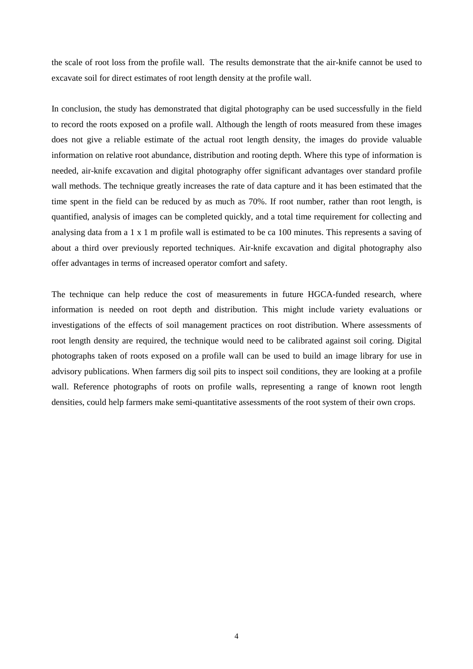the scale of root loss from the profile wall. The results demonstrate that the air-knife cannot be used to excavate soil for direct estimates of root length density at the profile wall.

In conclusion, the study has demonstrated that digital photography can be used successfully in the field to record the roots exposed on a profile wall. Although the length of roots measured from these images does not give a reliable estimate of the actual root length density, the images do provide valuable information on relative root abundance, distribution and rooting depth. Where this type of information is needed, air-knife excavation and digital photography offer significant advantages over standard profile wall methods. The technique greatly increases the rate of data capture and it has been estimated that the time spent in the field can be reduced by as much as 70%. If root number, rather than root length, is quantified, analysis of images can be completed quickly, and a total time requirement for collecting and analysing data from a 1 x 1 m profile wall is estimated to be ca 100 minutes. This represents a saving of about a third over previously reported techniques. Air-knife excavation and digital photography also offer advantages in terms of increased operator comfort and safety.

The technique can help reduce the cost of measurements in future HGCA-funded research, where information is needed on root depth and distribution. This might include variety evaluations or investigations of the effects of soil management practices on root distribution. Where assessments of root length density are required, the technique would need to be calibrated against soil coring. Digital photographs taken of roots exposed on a profile wall can be used to build an image library for use in advisory publications. When farmers dig soil pits to inspect soil conditions, they are looking at a profile wall. Reference photographs of roots on profile walls, representing a range of known root length densities, could help farmers make semi-quantitative assessments of the root system of their own crops.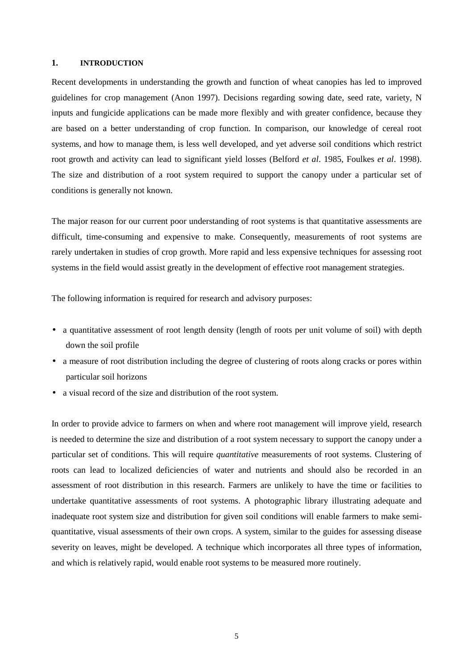#### **1. INTRODUCTION**

Recent developments in understanding the growth and function of wheat canopies has led to improved guidelines for crop management (Anon 1997). Decisions regarding sowing date, seed rate, variety, N inputs and fungicide applications can be made more flexibly and with greater confidence, because they are based on a better understanding of crop function. In comparison, our knowledge of cereal root systems, and how to manage them, is less well developed, and yet adverse soil conditions which restrict root growth and activity can lead to significant yield losses (Belford *et al*. 1985, Foulkes *et al*. 1998). The size and distribution of a root system required to support the canopy under a particular set of conditions is generally not known.

The major reason for our current poor understanding of root systems is that quantitative assessments are difficult, time-consuming and expensive to make. Consequently, measurements of root systems are rarely undertaken in studies of crop growth. More rapid and less expensive techniques for assessing root systems in the field would assist greatly in the development of effective root management strategies.

The following information is required for research and advisory purposes:

- a quantitative assessment of root length density (length of roots per unit volume of soil) with depth down the soil profile
- a measure of root distribution including the degree of clustering of roots along cracks or pores within particular soil horizons
- a visual record of the size and distribution of the root system.

In order to provide advice to farmers on when and where root management will improve yield, research is needed to determine the size and distribution of a root system necessary to support the canopy under a particular set of conditions. This will require *quantitative* measurements of root systems. Clustering of roots can lead to localized deficiencies of water and nutrients and should also be recorded in an assessment of root distribution in this research. Farmers are unlikely to have the time or facilities to undertake quantitative assessments of root systems. A photographic library illustrating adequate and inadequate root system size and distribution for given soil conditions will enable farmers to make semiquantitative, visual assessments of their own crops. A system, similar to the guides for assessing disease severity on leaves, might be developed. A technique which incorporates all three types of information, and which is relatively rapid, would enable root systems to be measured more routinely.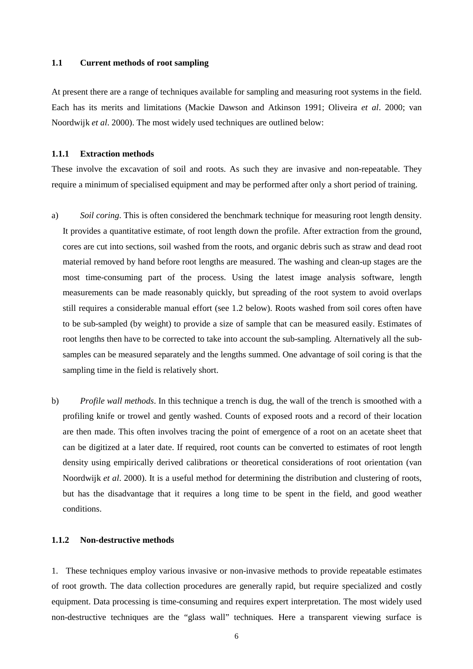#### **1.1 Current methods of root sampling**

At present there are a range of techniques available for sampling and measuring root systems in the field. Each has its merits and limitations (Mackie Dawson and Atkinson 1991; Oliveira *et al*. 2000; van Noordwijk *et al*. 2000). The most widely used techniques are outlined below:

## **1.1.1 Extraction methods**

These involve the excavation of soil and roots. As such they are invasive and non-repeatable. They require a minimum of specialised equipment and may be performed after only a short period of training.

- a) *Soil coring*. This is often considered the benchmark technique for measuring root length density. It provides a quantitative estimate, of root length down the profile. After extraction from the ground, cores are cut into sections, soil washed from the roots, and organic debris such as straw and dead root material removed by hand before root lengths are measured. The washing and clean-up stages are the most time-consuming part of the process. Using the latest image analysis software, length measurements can be made reasonably quickly, but spreading of the root system to avoid overlaps still requires a considerable manual effort (see 1.2 below). Roots washed from soil cores often have to be sub-sampled (by weight) to provide a size of sample that can be measured easily. Estimates of root lengths then have to be corrected to take into account the sub-sampling. Alternatively all the subsamples can be measured separately and the lengths summed. One advantage of soil coring is that the sampling time in the field is relatively short.
- b) *Profile wall methods*. In this technique a trench is dug, the wall of the trench is smoothed with a profiling knife or trowel and gently washed. Counts of exposed roots and a record of their location are then made. This often involves tracing the point of emergence of a root on an acetate sheet that can be digitized at a later date. If required, root counts can be converted to estimates of root length density using empirically derived calibrations or theoretical considerations of root orientation (van Noordwijk *et al*. 2000). It is a useful method for determining the distribution and clustering of roots, but has the disadvantage that it requires a long time to be spent in the field, and good weather conditions.

#### **1.1.2 Non-destructive methods**

1. These techniques employ various invasive or non-invasive methods to provide repeatable estimates of root growth. The data collection procedures are generally rapid, but require specialized and costly equipment. Data processing is time-consuming and requires expert interpretation. The most widely used non-destructive techniques are the "glass wall" techniques*.* Here a transparent viewing surface is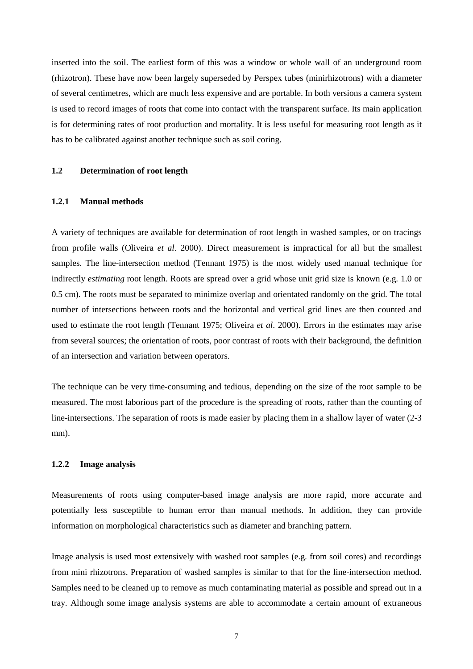inserted into the soil. The earliest form of this was a window or whole wall of an underground room (rhizotron). These have now been largely superseded by Perspex tubes (minirhizotrons) with a diameter of several centimetres, which are much less expensive and are portable. In both versions a camera system is used to record images of roots that come into contact with the transparent surface. Its main application is for determining rates of root production and mortality. It is less useful for measuring root length as it has to be calibrated against another technique such as soil coring.

## **1.2 Determination of root length**

## **1.2.1 Manual methods**

A variety of techniques are available for determination of root length in washed samples, or on tracings from profile walls (Oliveira *et al*. 2000). Direct measurement is impractical for all but the smallest samples. The line-intersection method (Tennant 1975) is the most widely used manual technique for indirectly *estimating* root length. Roots are spread over a grid whose unit grid size is known (e.g. 1.0 or 0.5 cm). The roots must be separated to minimize overlap and orientated randomly on the grid. The total number of intersections between roots and the horizontal and vertical grid lines are then counted and used to estimate the root length (Tennant 1975; Oliveira *et al*. 2000). Errors in the estimates may arise from several sources; the orientation of roots, poor contrast of roots with their background, the definition of an intersection and variation between operators.

The technique can be very time-consuming and tedious, depending on the size of the root sample to be measured. The most laborious part of the procedure is the spreading of roots, rather than the counting of line-intersections. The separation of roots is made easier by placing them in a shallow layer of water (2-3 mm).

## **1.2.2 Image analysis**

Measurements of roots using computer-based image analysis are more rapid, more accurate and potentially less susceptible to human error than manual methods. In addition, they can provide information on morphological characteristics such as diameter and branching pattern.

Image analysis is used most extensively with washed root samples (e.g. from soil cores) and recordings from mini rhizotrons. Preparation of washed samples is similar to that for the line-intersection method. Samples need to be cleaned up to remove as much contaminating material as possible and spread out in a tray. Although some image analysis systems are able to accommodate a certain amount of extraneous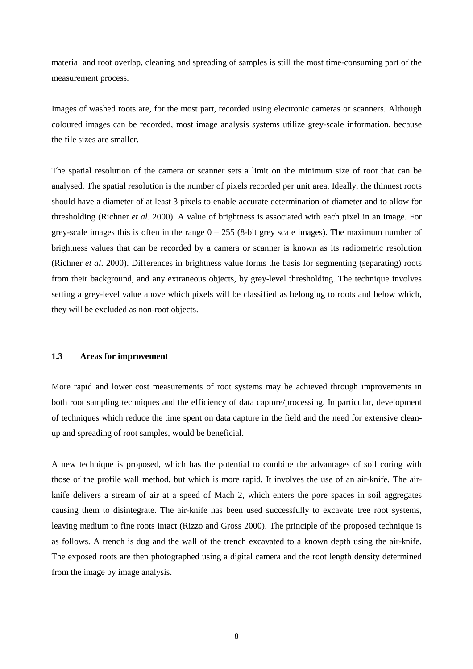material and root overlap, cleaning and spreading of samples is still the most time-consuming part of the measurement process.

Images of washed roots are, for the most part, recorded using electronic cameras or scanners. Although coloured images can be recorded, most image analysis systems utilize grey-scale information, because the file sizes are smaller.

The spatial resolution of the camera or scanner sets a limit on the minimum size of root that can be analysed. The spatial resolution is the number of pixels recorded per unit area. Ideally, the thinnest roots should have a diameter of at least 3 pixels to enable accurate determination of diameter and to allow for thresholding (Richner *et al*. 2000). A value of brightness is associated with each pixel in an image. For grey-scale images this is often in the range  $0 - 255$  (8-bit grey scale images). The maximum number of brightness values that can be recorded by a camera or scanner is known as its radiometric resolution (Richner *et al*. 2000). Differences in brightness value forms the basis for segmenting (separating) roots from their background, and any extraneous objects, by grey-level thresholding. The technique involves setting a grey-level value above which pixels will be classified as belonging to roots and below which, they will be excluded as non-root objects.

## **1.3 Areas for improvement**

More rapid and lower cost measurements of root systems may be achieved through improvements in both root sampling techniques and the efficiency of data capture/processing. In particular, development of techniques which reduce the time spent on data capture in the field and the need for extensive cleanup and spreading of root samples, would be beneficial.

A new technique is proposed, which has the potential to combine the advantages of soil coring with those of the profile wall method, but which is more rapid. It involves the use of an air-knife. The airknife delivers a stream of air at a speed of Mach 2, which enters the pore spaces in soil aggregates causing them to disintegrate. The air-knife has been used successfully to excavate tree root systems, leaving medium to fine roots intact (Rizzo and Gross 2000). The principle of the proposed technique is as follows. A trench is dug and the wall of the trench excavated to a known depth using the air-knife. The exposed roots are then photographed using a digital camera and the root length density determined from the image by image analysis.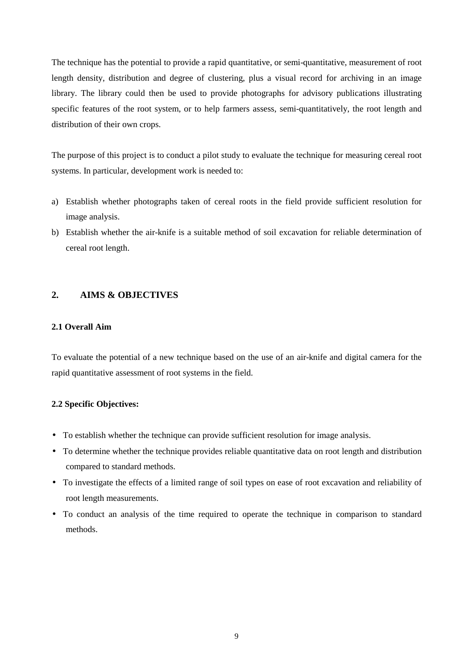The technique has the potential to provide a rapid quantitative, or semi-quantitative, measurement of root length density, distribution and degree of clustering, plus a visual record for archiving in an image library. The library could then be used to provide photographs for advisory publications illustrating specific features of the root system, or to help farmers assess, semi-quantitatively, the root length and distribution of their own crops.

The purpose of this project is to conduct a pilot study to evaluate the technique for measuring cereal root systems. In particular, development work is needed to:

- a) Establish whether photographs taken of cereal roots in the field provide sufficient resolution for image analysis.
- b) Establish whether the air-knife is a suitable method of soil excavation for reliable determination of cereal root length.

# **2. AIMS & OBJECTIVES**

# **2.1 Overall Aim**

To evaluate the potential of a new technique based on the use of an air-knife and digital camera for the rapid quantitative assessment of root systems in the field.

## **2.2 Specific Objectives:**

- To establish whether the technique can provide sufficient resolution for image analysis.
- To determine whether the technique provides reliable quantitative data on root length and distribution compared to standard methods.
- To investigate the effects of a limited range of soil types on ease of root excavation and reliability of root length measurements.
- To conduct an analysis of the time required to operate the technique in comparison to standard methods.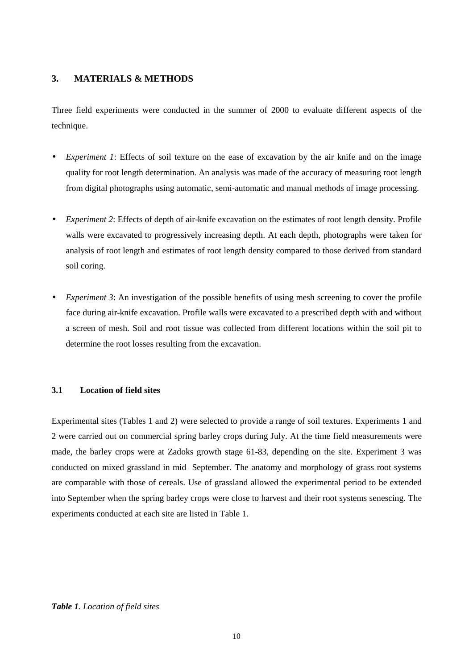# **3. MATERIALS & METHODS**

Three field experiments were conducted in the summer of 2000 to evaluate different aspects of the technique.

- *Experiment 1*: Effects of soil texture on the ease of excavation by the air knife and on the image quality for root length determination. An analysis was made of the accuracy of measuring root length from digital photographs using automatic, semi-automatic and manual methods of image processing.
- *Experiment 2*: Effects of depth of air-knife excavation on the estimates of root length density. Profile walls were excavated to progressively increasing depth. At each depth, photographs were taken for analysis of root length and estimates of root length density compared to those derived from standard soil coring.
- *Experiment 3*: An investigation of the possible benefits of using mesh screening to cover the profile face during air-knife excavation. Profile walls were excavated to a prescribed depth with and without a screen of mesh. Soil and root tissue was collected from different locations within the soil pit to determine the root losses resulting from the excavation.

## **3.1 Location of field sites**

Experimental sites (Tables 1 and 2) were selected to provide a range of soil textures. Experiments 1 and 2 were carried out on commercial spring barley crops during July. At the time field measurements were made, the barley crops were at Zadoks growth stage 61-83, depending on the site. Experiment 3 was conducted on mixed grassland in mid September. The anatomy and morphology of grass root systems are comparable with those of cereals. Use of grassland allowed the experimental period to be extended into September when the spring barley crops were close to harvest and their root systems senescing. The experiments conducted at each site are listed in Table 1.

#### *Table 1. Location of field sites*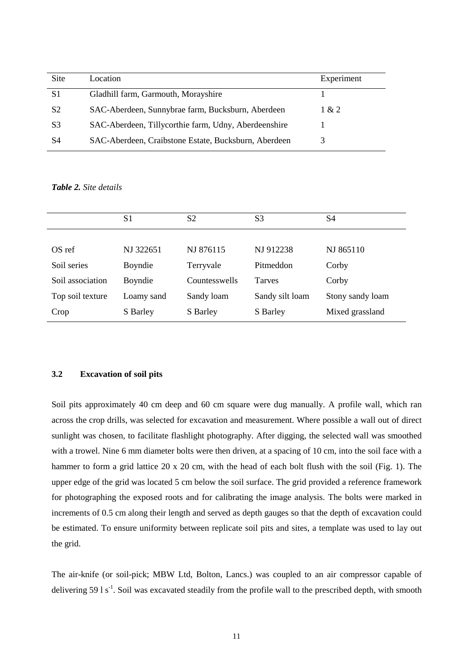| Site           | Location                                             | Experiment |
|----------------|------------------------------------------------------|------------|
| S1             | Gladhill farm, Garmouth, Morayshire                  |            |
| S <sub>2</sub> | SAC-Aberdeen, Sunnybrae farm, Bucksburn, Aberdeen    | 1 & 2      |
| S3             | SAC-Aberdeen, Tillycorthie farm, Udny, Aberdeenshire |            |
| S4             | SAC-Aberdeen, Craibstone Estate, Bucksburn, Aberdeen |            |

*Table 2. Site details*

|                  | S1         | S <sub>2</sub> | S3              | S4               |
|------------------|------------|----------------|-----------------|------------------|
|                  |            |                |                 |                  |
| OS ref           | NJ 322651  | NJ 876115      | NJ 912238       | NJ 865110        |
| Soil series      | Boyndie    | Terryvale      | Pitmeddon       | Corby            |
| Soil association | Boyndie    | Countesswells  | <b>Tarves</b>   | Corby            |
| Top soil texture | Loamy sand | Sandy loam     | Sandy silt loam | Stony sandy loam |
| Crop             | S Barley   | S Barley       | S Barley        | Mixed grassland  |

## **3.2 Excavation of soil pits**

Soil pits approximately 40 cm deep and 60 cm square were dug manually. A profile wall, which ran across the crop drills, was selected for excavation and measurement. Where possible a wall out of direct sunlight was chosen, to facilitate flashlight photography. After digging, the selected wall was smoothed with a trowel. Nine 6 mm diameter bolts were then driven, at a spacing of 10 cm, into the soil face with a hammer to form a grid lattice 20 x 20 cm, with the head of each bolt flush with the soil (Fig. 1). The upper edge of the grid was located 5 cm below the soil surface. The grid provided a reference framework for photographing the exposed roots and for calibrating the image analysis. The bolts were marked in increments of 0.5 cm along their length and served as depth gauges so that the depth of excavation could be estimated. To ensure uniformity between replicate soil pits and sites, a template was used to lay out the grid.

The air-knife (or soil-pick; MBW Ltd, Bolton, Lancs.) was coupled to an air compressor capable of delivering 59  $1 s<sup>-1</sup>$ . Soil was excavated steadily from the profile wall to the prescribed depth, with smooth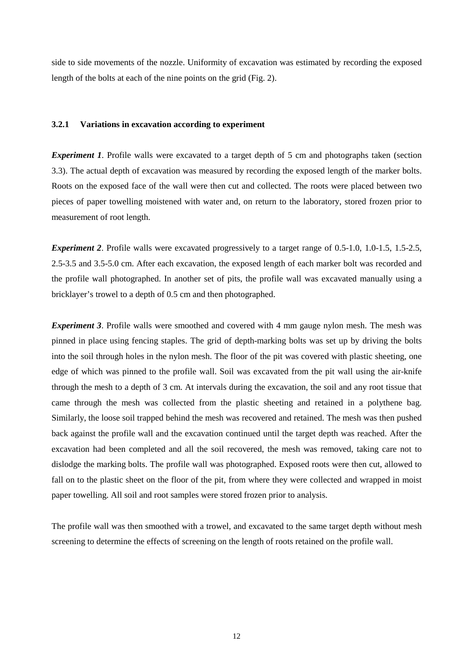side to side movements of the nozzle. Uniformity of excavation was estimated by recording the exposed length of the bolts at each of the nine points on the grid (Fig. 2).

#### **3.2.1 Variations in excavation according to experiment**

*Experiment 1*. Profile walls were excavated to a target depth of 5 cm and photographs taken (section 3.3). The actual depth of excavation was measured by recording the exposed length of the marker bolts. Roots on the exposed face of the wall were then cut and collected. The roots were placed between two pieces of paper towelling moistened with water and, on return to the laboratory, stored frozen prior to measurement of root length.

*Experiment 2.* Profile walls were excavated progressively to a target range of 0.5-1.0, 1.0-1.5, 1.5-2.5, 2.5-3.5 and 3.5-5.0 cm. After each excavation, the exposed length of each marker bolt was recorded and the profile wall photographed. In another set of pits, the profile wall was excavated manually using a bricklayer's trowel to a depth of 0.5 cm and then photographed.

*Experiment 3*. Profile walls were smoothed and covered with 4 mm gauge nylon mesh. The mesh was pinned in place using fencing staples. The grid of depth-marking bolts was set up by driving the bolts into the soil through holes in the nylon mesh. The floor of the pit was covered with plastic sheeting, one edge of which was pinned to the profile wall. Soil was excavated from the pit wall using the air-knife through the mesh to a depth of 3 cm. At intervals during the excavation, the soil and any root tissue that came through the mesh was collected from the plastic sheeting and retained in a polythene bag. Similarly, the loose soil trapped behind the mesh was recovered and retained. The mesh was then pushed back against the profile wall and the excavation continued until the target depth was reached. After the excavation had been completed and all the soil recovered, the mesh was removed, taking care not to dislodge the marking bolts. The profile wall was photographed. Exposed roots were then cut, allowed to fall on to the plastic sheet on the floor of the pit, from where they were collected and wrapped in moist paper towelling. All soil and root samples were stored frozen prior to analysis.

The profile wall was then smoothed with a trowel, and excavated to the same target depth without mesh screening to determine the effects of screening on the length of roots retained on the profile wall.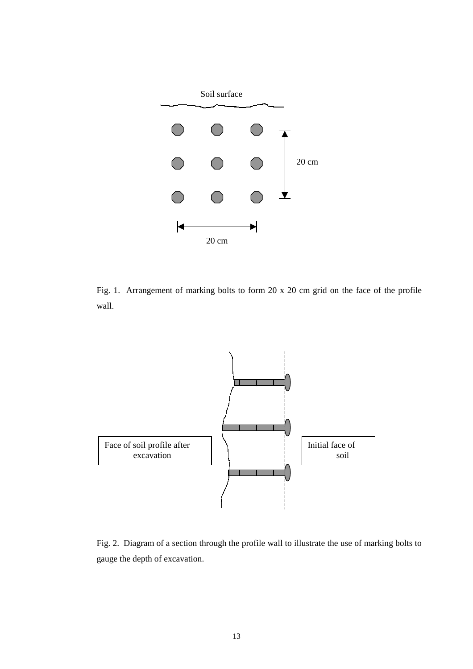

Fig. 1. Arrangement of marking bolts to form 20 x 20 cm grid on the face of the profile wall.



Fig. 2. Diagram of a section through the profile wall to illustrate the use of marking bolts to gauge the depth of excavation.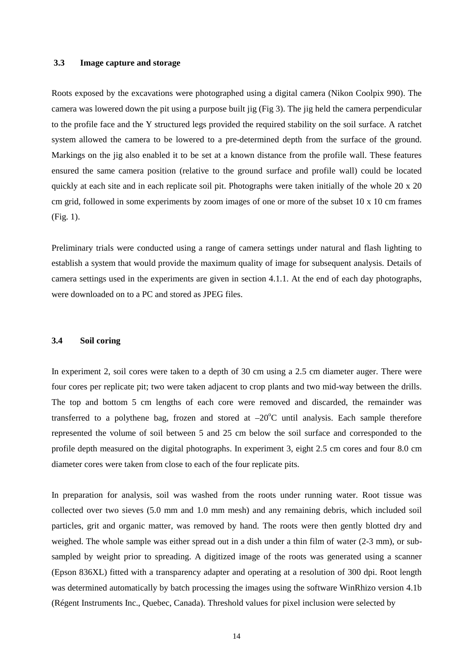#### **3.3 Image capture and storage**

Roots exposed by the excavations were photographed using a digital camera (Nikon Coolpix 990). The camera was lowered down the pit using a purpose built jig (Fig 3). The jig held the camera perpendicular to the profile face and the Y structured legs provided the required stability on the soil surface. A ratchet system allowed the camera to be lowered to a pre-determined depth from the surface of the ground. Markings on the jig also enabled it to be set at a known distance from the profile wall. These features ensured the same camera position (relative to the ground surface and profile wall) could be located quickly at each site and in each replicate soil pit. Photographs were taken initially of the whole 20 x 20 cm grid, followed in some experiments by zoom images of one or more of the subset 10 x 10 cm frames (Fig. 1).

Preliminary trials were conducted using a range of camera settings under natural and flash lighting to establish a system that would provide the maximum quality of image for subsequent analysis. Details of camera settings used in the experiments are given in section 4.1.1. At the end of each day photographs, were downloaded on to a PC and stored as JPEG files.

#### **3.4 Soil coring**

In experiment 2, soil cores were taken to a depth of 30 cm using a 2.5 cm diameter auger. There were four cores per replicate pit; two were taken adjacent to crop plants and two mid-way between the drills. The top and bottom 5 cm lengths of each core were removed and discarded, the remainder was transferred to a polythene bag, frozen and stored at  $-20^{\circ}$ C until analysis. Each sample therefore represented the volume of soil between 5 and 25 cm below the soil surface and corresponded to the profile depth measured on the digital photographs. In experiment 3, eight 2.5 cm cores and four 8.0 cm diameter cores were taken from close to each of the four replicate pits.

In preparation for analysis, soil was washed from the roots under running water. Root tissue was collected over two sieves (5.0 mm and 1.0 mm mesh) and any remaining debris, which included soil particles, grit and organic matter, was removed by hand. The roots were then gently blotted dry and weighed. The whole sample was either spread out in a dish under a thin film of water (2-3 mm), or subsampled by weight prior to spreading. A digitized image of the roots was generated using a scanner (Epson 836XL) fitted with a transparency adapter and operating at a resolution of 300 dpi. Root length was determined automatically by batch processing the images using the software WinRhizo version 4.1b (Régent Instruments Inc., Quebec, Canada). Threshold values for pixel inclusion were selected by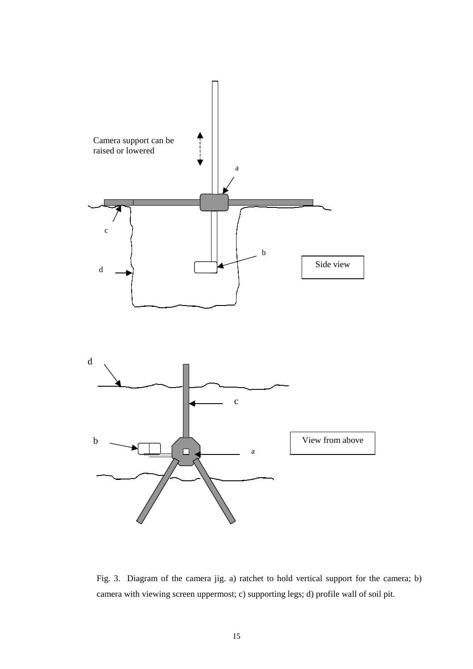

Fig. 3. Diagram of the camera jig. a) ratchet to hold vertical support for the camera; b) camera with viewing screen uppermost; c) supporting legs; d) profile wall of soil pit.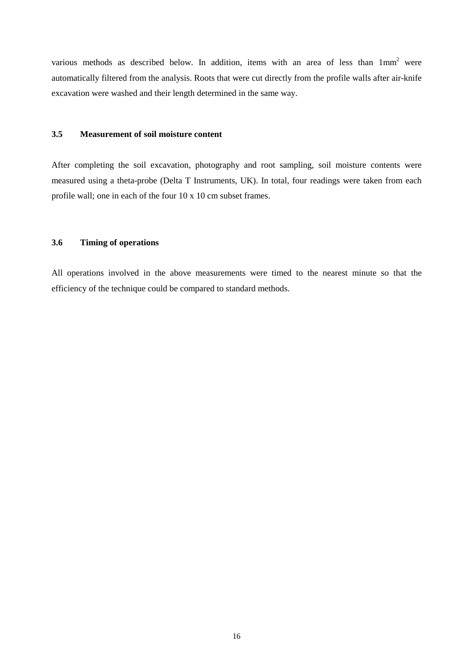various methods as described below. In addition, items with an area of less than  $1mm<sup>2</sup>$  were automatically filtered from the analysis. Roots that were cut directly from the profile walls after air-knife excavation were washed and their length determined in the same way.

## **3.5 Measurement of soil moisture content**

After completing the soil excavation, photography and root sampling, soil moisture contents were measured using a theta-probe (Delta T Instruments, UK). In total, four readings were taken from each profile wall; one in each of the four 10 x 10 cm subset frames.

## **3.6 Timing of operations**

All operations involved in the above measurements were timed to the nearest minute so that the efficiency of the technique could be compared to standard methods.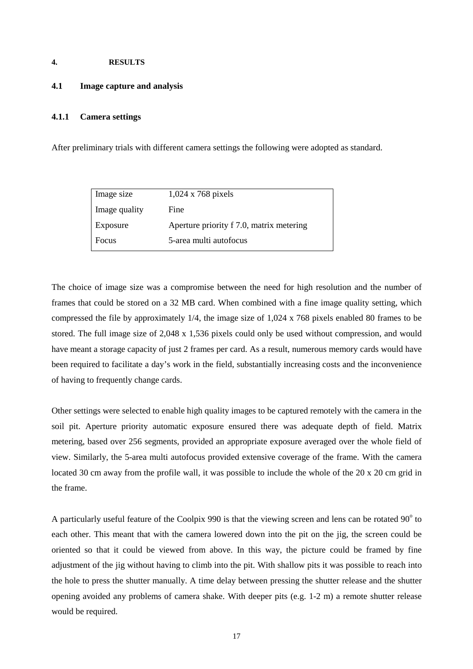#### **4. RESULTS**

### **4.1 Image capture and analysis**

## **4.1.1 Camera settings**

After preliminary trials with different camera settings the following were adopted as standard.

| Image size    | $1,024 \times 768$ pixels                |
|---------------|------------------------------------------|
| Image quality | Fine                                     |
| Exposure      | Aperture priority f 7.0, matrix metering |
| Focus         | 5-area multi autofocus                   |

The choice of image size was a compromise between the need for high resolution and the number of frames that could be stored on a 32 MB card. When combined with a fine image quality setting, which compressed the file by approximately 1/4, the image size of 1,024 x 768 pixels enabled 80 frames to be stored. The full image size of 2,048 x 1,536 pixels could only be used without compression, and would have meant a storage capacity of just 2 frames per card. As a result, numerous memory cards would have been required to facilitate a day's work in the field, substantially increasing costs and the inconvenience of having to frequently change cards.

Other settings were selected to enable high quality images to be captured remotely with the camera in the soil pit. Aperture priority automatic exposure ensured there was adequate depth of field. Matrix metering, based over 256 segments, provided an appropriate exposure averaged over the whole field of view. Similarly, the 5-area multi autofocus provided extensive coverage of the frame. With the camera located 30 cm away from the profile wall, it was possible to include the whole of the 20 x 20 cm grid in the frame.

A particularly useful feature of the Coolpix 990 is that the viewing screen and lens can be rotated  $90^{\circ}$  to each other. This meant that with the camera lowered down into the pit on the jig, the screen could be oriented so that it could be viewed from above. In this way, the picture could be framed by fine adjustment of the jig without having to climb into the pit. With shallow pits it was possible to reach into the hole to press the shutter manually. A time delay between pressing the shutter release and the shutter opening avoided any problems of camera shake. With deeper pits (e.g. 1-2 m) a remote shutter release would be required.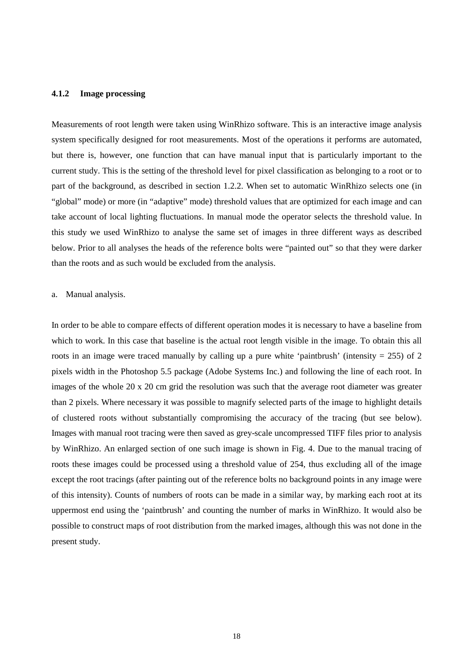### **4.1.2 Image processing**

Measurements of root length were taken using WinRhizo software. This is an interactive image analysis system specifically designed for root measurements. Most of the operations it performs are automated, but there is, however, one function that can have manual input that is particularly important to the current study. This is the setting of the threshold level for pixel classification as belonging to a root or to part of the background, as described in section 1.2.2. When set to automatic WinRhizo selects one (in "global" mode) or more (in "adaptive" mode) threshold values that are optimized for each image and can take account of local lighting fluctuations. In manual mode the operator selects the threshold value. In this study we used WinRhizo to analyse the same set of images in three different ways as described below. Prior to all analyses the heads of the reference bolts were "painted out" so that they were darker than the roots and as such would be excluded from the analysis.

#### a. Manual analysis.

In order to be able to compare effects of different operation modes it is necessary to have a baseline from which to work. In this case that baseline is the actual root length visible in the image. To obtain this all roots in an image were traced manually by calling up a pure white 'paintbrush' (intensity  $= 255$ ) of 2 pixels width in the Photoshop 5.5 package (Adobe Systems Inc.) and following the line of each root. In images of the whole 20 x 20 cm grid the resolution was such that the average root diameter was greater than 2 pixels. Where necessary it was possible to magnify selected parts of the image to highlight details of clustered roots without substantially compromising the accuracy of the tracing (but see below). Images with manual root tracing were then saved as grey-scale uncompressed TIFF files prior to analysis by WinRhizo. An enlarged section of one such image is shown in Fig. 4. Due to the manual tracing of roots these images could be processed using a threshold value of 254, thus excluding all of the image except the root tracings (after painting out of the reference bolts no background points in any image were of this intensity). Counts of numbers of roots can be made in a similar way, by marking each root at its uppermost end using the 'paintbrush' and counting the number of marks in WinRhizo. It would also be possible to construct maps of root distribution from the marked images, although this was not done in the present study.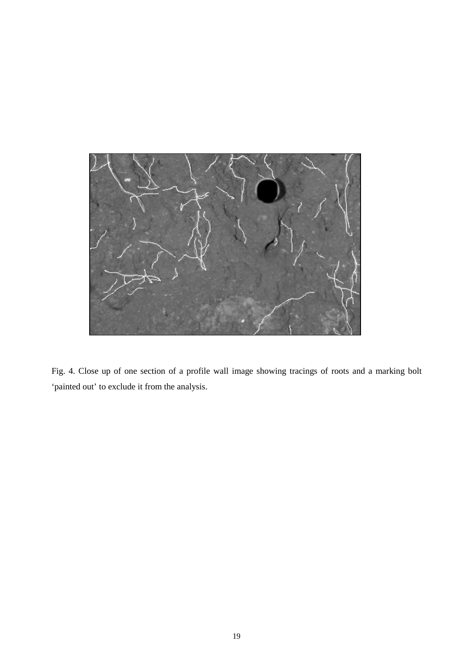

Fig. 4. Close up of one section of a profile wall image showing tracings of roots and a marking bolt 'painted out' to exclude it from the analysis.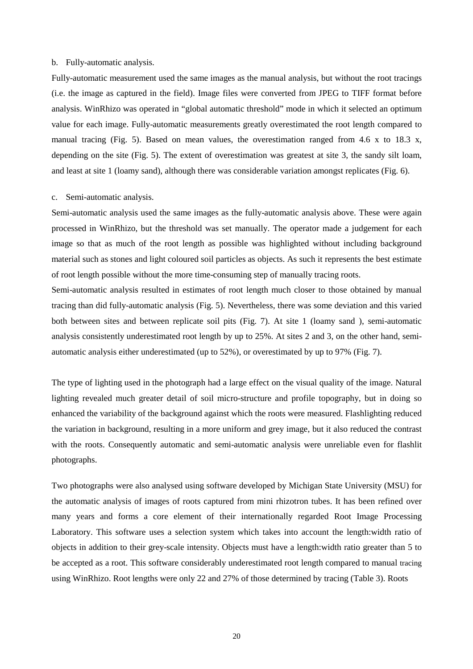#### b. Fully-automatic analysis.

Fully-automatic measurement used the same images as the manual analysis, but without the root tracings (i.e. the image as captured in the field). Image files were converted from JPEG to TIFF format before analysis. WinRhizo was operated in "global automatic threshold" mode in which it selected an optimum value for each image. Fully-automatic measurements greatly overestimated the root length compared to manual tracing (Fig. 5). Based on mean values, the overestimation ranged from 4.6 x to 18.3 x, depending on the site (Fig. 5). The extent of overestimation was greatest at site 3, the sandy silt loam, and least at site 1 (loamy sand), although there was considerable variation amongst replicates (Fig. 6).

#### c. Semi-automatic analysis.

Semi-automatic analysis used the same images as the fully-automatic analysis above. These were again processed in WinRhizo, but the threshold was set manually. The operator made a judgement for each image so that as much of the root length as possible was highlighted without including background material such as stones and light coloured soil particles as objects. As such it represents the best estimate of root length possible without the more time-consuming step of manually tracing roots.

Semi-automatic analysis resulted in estimates of root length much closer to those obtained by manual tracing than did fully-automatic analysis (Fig. 5). Nevertheless, there was some deviation and this varied both between sites and between replicate soil pits (Fig. 7). At site 1 (loamy sand ), semi-automatic analysis consistently underestimated root length by up to 25%. At sites 2 and 3, on the other hand, semiautomatic analysis either underestimated (up to 52%), or overestimated by up to 97% (Fig. 7).

The type of lighting used in the photograph had a large effect on the visual quality of the image. Natural lighting revealed much greater detail of soil micro-structure and profile topography, but in doing so enhanced the variability of the background against which the roots were measured. Flashlighting reduced the variation in background, resulting in a more uniform and grey image, but it also reduced the contrast with the roots. Consequently automatic and semi-automatic analysis were unreliable even for flashlit photographs.

Two photographs were also analysed using software developed by Michigan State University (MSU) for the automatic analysis of images of roots captured from mini rhizotron tubes. It has been refined over many years and forms a core element of their internationally regarded Root Image Processing Laboratory. This software uses a selection system which takes into account the length:width ratio of objects in addition to their grey-scale intensity. Objects must have a length:width ratio greater than 5 to be accepted as a root. This software considerably underestimated root length compared to manual tracing using WinRhizo. Root lengths were only 22 and 27% of those determined by tracing (Table 3). Roots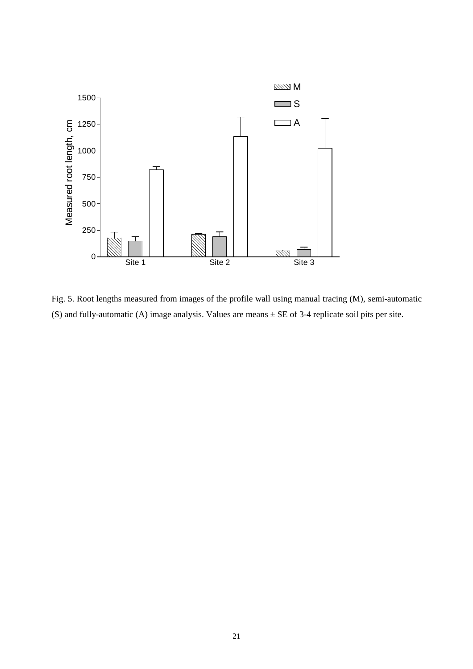

Fig. 5. Root lengths measured from images of the profile wall using manual tracing (M), semi-automatic (S) and fully-automatic (A) image analysis. Values are means ± SE of 3-4 replicate soil pits per site.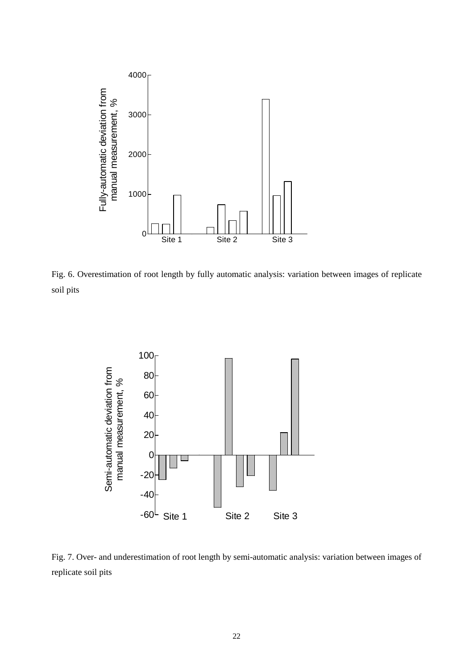

Fig. 6. Overestimation of root length by fully automatic analysis: variation between images of replicate soil pits



Fig. 7. Over- and underestimation of root length by semi-automatic analysis: variation between images of replicate soil pits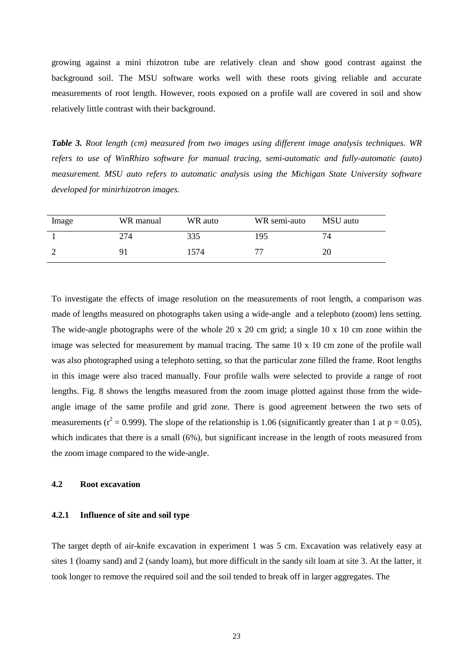growing against a mini rhizotron tube are relatively clean and show good contrast against the background soil. The MSU software works well with these roots giving reliable and accurate measurements of root length. However, roots exposed on a profile wall are covered in soil and show relatively little contrast with their background.

*Table 3. Root length (cm) measured from two images using different image analysis techniques. WR refers to use of WinRhizo software for manual tracing, semi-automatic and fully-automatic (auto) measurement. MSU auto refers to automatic analysis using the Michigan State University software developed for minirhizotron images.*

| Image | WR manual | WR auto | WR semi-auto | MSU auto |
|-------|-----------|---------|--------------|----------|
|       | 274       | 335     | 195          | 74       |
|       | 91        | 1574    | 77           | 20       |

To investigate the effects of image resolution on the measurements of root length, a comparison was made of lengths measured on photographs taken using a wide-angle and a telephoto (zoom) lens setting. The wide-angle photographs were of the whole 20 x 20 cm grid; a single 10 x 10 cm zone within the image was selected for measurement by manual tracing. The same 10 x 10 cm zone of the profile wall was also photographed using a telephoto setting, so that the particular zone filled the frame. Root lengths in this image were also traced manually. Four profile walls were selected to provide a range of root lengths. Fig. 8 shows the lengths measured from the zoom image plotted against those from the wideangle image of the same profile and grid zone. There is good agreement between the two sets of measurements ( $r^2$  = 0.999). The slope of the relationship is 1.06 (significantly greater than 1 at p = 0.05), which indicates that there is a small (6%), but significant increase in the length of roots measured from the zoom image compared to the wide-angle.

## **4.2 Root excavation**

#### **4.2.1 Influence of site and soil type**

The target depth of air-knife excavation in experiment 1 was 5 cm. Excavation was relatively easy at sites 1 (loamy sand) and 2 (sandy loam), but more difficult in the sandy silt loam at site 3. At the latter, it took longer to remove the required soil and the soil tended to break off in larger aggregates. The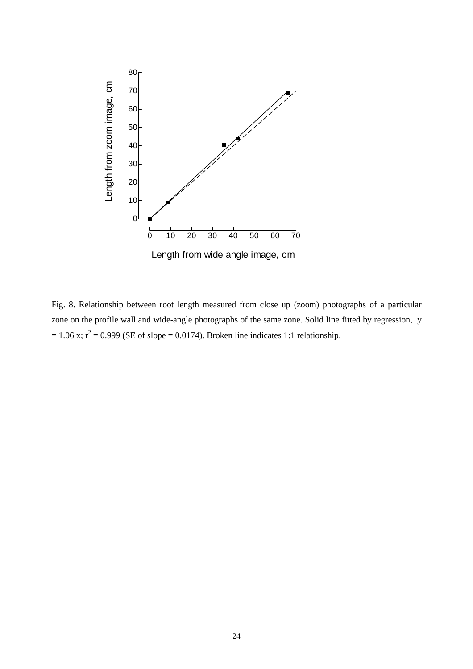

Fig. 8. Relationship between root length measured from close up (zoom) photographs of a particular zone on the profile wall and wide-angle photographs of the same zone. Solid line fitted by regression, y  $= 1.06$  x;  $r^2 = 0.999$  (SE of slope  $= 0.0174$ ). Broken line indicates 1:1 relationship.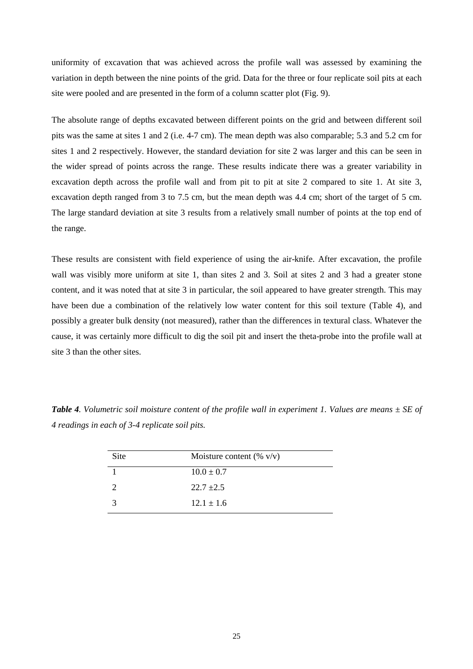uniformity of excavation that was achieved across the profile wall was assessed by examining the variation in depth between the nine points of the grid. Data for the three or four replicate soil pits at each site were pooled and are presented in the form of a column scatter plot (Fig. 9).

The absolute range of depths excavated between different points on the grid and between different soil pits was the same at sites 1 and 2 (i.e. 4-7 cm). The mean depth was also comparable; 5.3 and 5.2 cm for sites 1 and 2 respectively. However, the standard deviation for site 2 was larger and this can be seen in the wider spread of points across the range. These results indicate there was a greater variability in excavation depth across the profile wall and from pit to pit at site 2 compared to site 1. At site 3, excavation depth ranged from 3 to 7.5 cm, but the mean depth was 4.4 cm; short of the target of 5 cm. The large standard deviation at site 3 results from a relatively small number of points at the top end of the range.

These results are consistent with field experience of using the air-knife. After excavation, the profile wall was visibly more uniform at site 1, than sites 2 and 3. Soil at sites 2 and 3 had a greater stone content, and it was noted that at site 3 in particular, the soil appeared to have greater strength. This may have been due a combination of the relatively low water content for this soil texture (Table 4), and possibly a greater bulk density (not measured), rather than the differences in textural class. Whatever the cause, it was certainly more difficult to dig the soil pit and insert the theta-probe into the profile wall at site 3 than the other sites.

*Table 4. Volumetric soil moisture content of the profile wall in experiment 1. Values are means ± SE of 4 readings in each of 3-4 replicate soil pits.*

| Site | Moisture content (% $v/v$ ) |
|------|-----------------------------|
|      | $10.0 \pm 0.7$              |
|      | $22.7 \pm 2.5$              |
| 3    | $12.1 \pm 1.6$              |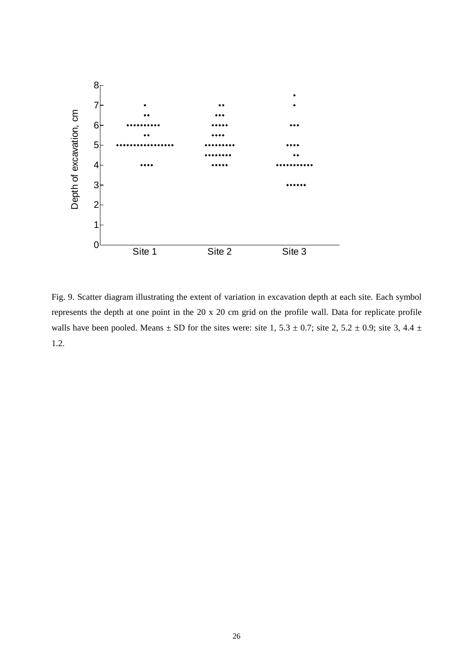

Fig. 9. Scatter diagram illustrating the extent of variation in excavation depth at each site. Each symbol represents the depth at one point in the 20 x 20 cm grid on the profile wall. Data for replicate profile walls have been pooled. Means  $\pm$  SD for the sites were: site 1, 5.3  $\pm$  0.7; site 2, 5.2  $\pm$  0.9; site 3, 4.4  $\pm$ 1.2.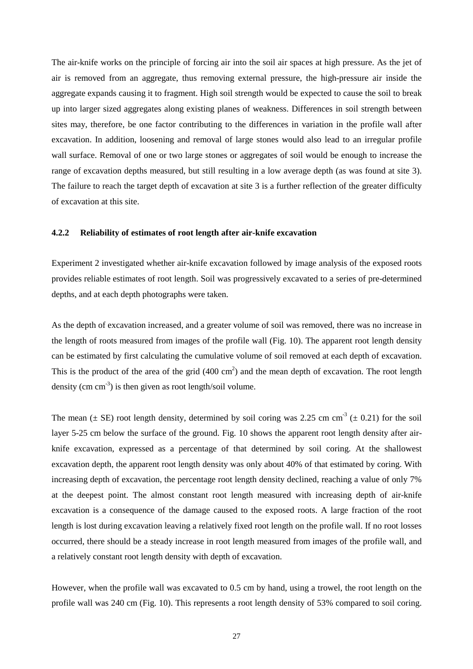The air-knife works on the principle of forcing air into the soil air spaces at high pressure. As the jet of air is removed from an aggregate, thus removing external pressure, the high-pressure air inside the aggregate expands causing it to fragment. High soil strength would be expected to cause the soil to break up into larger sized aggregates along existing planes of weakness. Differences in soil strength between sites may, therefore, be one factor contributing to the differences in variation in the profile wall after excavation. In addition, loosening and removal of large stones would also lead to an irregular profile wall surface. Removal of one or two large stones or aggregates of soil would be enough to increase the range of excavation depths measured, but still resulting in a low average depth (as was found at site 3). The failure to reach the target depth of excavation at site 3 is a further reflection of the greater difficulty of excavation at this site.

## **4.2.2 Reliability of estimates of root length after air-knife excavation**

Experiment 2 investigated whether air-knife excavation followed by image analysis of the exposed roots provides reliable estimates of root length. Soil was progressively excavated to a series of pre-determined depths, and at each depth photographs were taken.

As the depth of excavation increased, and a greater volume of soil was removed, there was no increase in the length of roots measured from images of the profile wall (Fig. 10). The apparent root length density can be estimated by first calculating the cumulative volume of soil removed at each depth of excavation. This is the product of the area of the grid  $(400 \text{ cm}^2)$  and the mean depth of excavation. The root length density (cm  $\text{cm}^{-3}$ ) is then given as root length/soil volume.

The mean ( $\pm$  SE) root length density, determined by soil coring was 2.25 cm cm<sup>-3</sup> ( $\pm$  0.21) for the soil layer 5-25 cm below the surface of the ground. Fig. 10 shows the apparent root length density after airknife excavation, expressed as a percentage of that determined by soil coring. At the shallowest excavation depth, the apparent root length density was only about 40% of that estimated by coring. With increasing depth of excavation, the percentage root length density declined, reaching a value of only 7% at the deepest point. The almost constant root length measured with increasing depth of air-knife excavation is a consequence of the damage caused to the exposed roots. A large fraction of the root length is lost during excavation leaving a relatively fixed root length on the profile wall. If no root losses occurred, there should be a steady increase in root length measured from images of the profile wall, and a relatively constant root length density with depth of excavation.

However, when the profile wall was excavated to 0.5 cm by hand, using a trowel, the root length on the profile wall was 240 cm (Fig. 10). This represents a root length density of 53% compared to soil coring.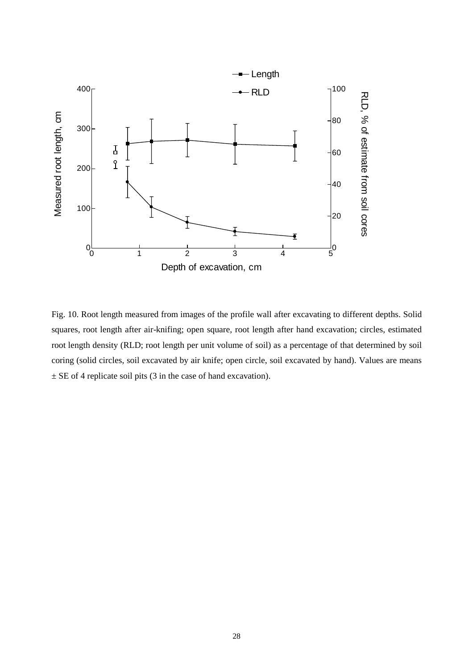

Fig. 10. Root length measured from images of the profile wall after excavating to different depths. Solid squares, root length after air-knifing; open square, root length after hand excavation; circles, estimated root length density (RLD; root length per unit volume of soil) as a percentage of that determined by soil coring (solid circles, soil excavated by air knife; open circle, soil excavated by hand). Values are means  $\pm$  SE of 4 replicate soil pits (3 in the case of hand excavation).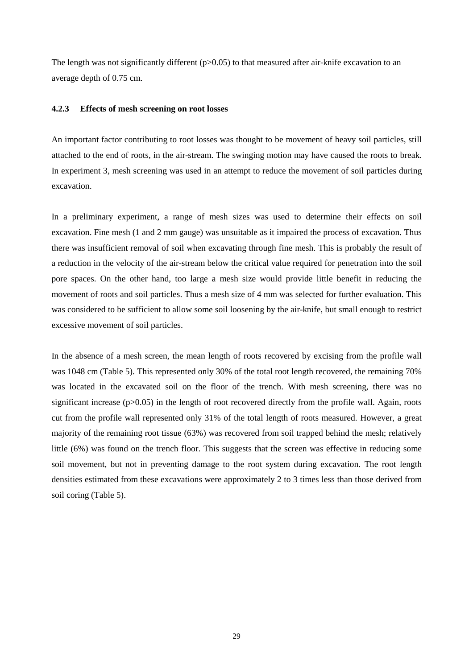The length was not significantly different  $(p>0.05)$  to that measured after air-knife excavation to an average depth of 0.75 cm.

## **4.2.3 Effects of mesh screening on root losses**

An important factor contributing to root losses was thought to be movement of heavy soil particles, still attached to the end of roots, in the air-stream. The swinging motion may have caused the roots to break. In experiment 3, mesh screening was used in an attempt to reduce the movement of soil particles during excavation.

In a preliminary experiment, a range of mesh sizes was used to determine their effects on soil excavation. Fine mesh (1 and 2 mm gauge) was unsuitable as it impaired the process of excavation. Thus there was insufficient removal of soil when excavating through fine mesh. This is probably the result of a reduction in the velocity of the air-stream below the critical value required for penetration into the soil pore spaces. On the other hand, too large a mesh size would provide little benefit in reducing the movement of roots and soil particles. Thus a mesh size of 4 mm was selected for further evaluation. This was considered to be sufficient to allow some soil loosening by the air-knife, but small enough to restrict excessive movement of soil particles.

In the absence of a mesh screen, the mean length of roots recovered by excising from the profile wall was 1048 cm (Table 5). This represented only 30% of the total root length recovered, the remaining 70% was located in the excavated soil on the floor of the trench. With mesh screening, there was no significant increase (p>0.05) in the length of root recovered directly from the profile wall. Again, roots cut from the profile wall represented only 31% of the total length of roots measured. However, a great majority of the remaining root tissue (63%) was recovered from soil trapped behind the mesh; relatively little (6%) was found on the trench floor. This suggests that the screen was effective in reducing some soil movement, but not in preventing damage to the root system during excavation. The root length densities estimated from these excavations were approximately 2 to 3 times less than those derived from soil coring (Table 5).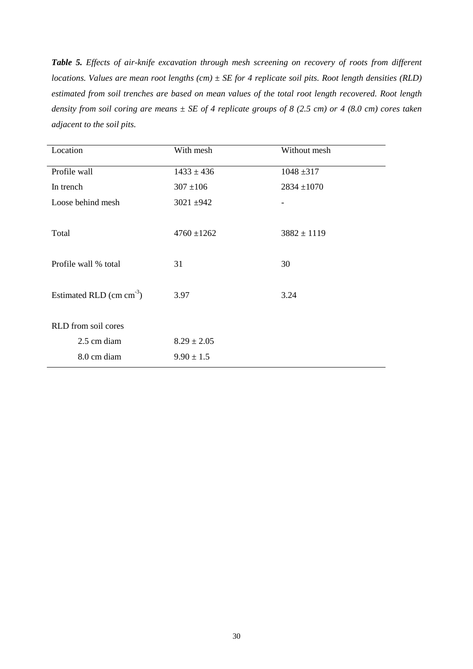*Table 5. Effects of air-knife excavation through mesh screening on recovery of roots from different locations. Values are mean root lengths (cm) ± SE for 4 replicate soil pits. Root length densities (RLD) estimated from soil trenches are based on mean values of the total root length recovered. Root length density from soil coring are means ± SE of 4 replicate groups of 8 (2.5 cm) or 4 (8.0 cm) cores taken adjacent to the soil pits.*

| Location                  | With mesh       | Without mesh    |
|---------------------------|-----------------|-----------------|
| Profile wall              | $1433 \pm 436$  | $1048 \pm 317$  |
| In trench                 | $307 \pm 106$   | $2834 \pm 1070$ |
| Loose behind mesh         | $3021 \pm 942$  |                 |
|                           |                 |                 |
| Total                     | $4760 \pm 1262$ | $3882 \pm 1119$ |
|                           |                 |                 |
| Profile wall % total      | 31              | 30              |
|                           |                 |                 |
| Estimated RLD $(cm cm-3)$ | 3.97            | 3.24            |
|                           |                 |                 |
| RLD from soil cores       |                 |                 |
| 2.5 cm diam               | $8.29 \pm 2.05$ |                 |
| 8.0 cm diam               | $9.90 \pm 1.5$  |                 |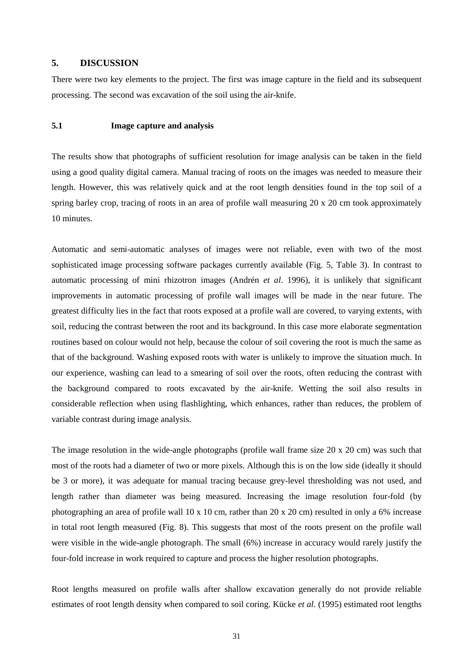## **5. DISCUSSION**

There were two key elements to the project. The first was image capture in the field and its subsequent processing. The second was excavation of the soil using the air-knife.

## **5.1 Image capture and analysis**

The results show that photographs of sufficient resolution for image analysis can be taken in the field using a good quality digital camera. Manual tracing of roots on the images was needed to measure their length. However, this was relatively quick and at the root length densities found in the top soil of a spring barley crop, tracing of roots in an area of profile wall measuring 20 x 20 cm took approximately 10 minutes.

Automatic and semi-automatic analyses of images were not reliable, even with two of the most sophisticated image processing software packages currently available (Fig. 5, Table 3). In contrast to automatic processing of mini rhizotron images (Andrén *et al*. 1996), it is unlikely that significant improvements in automatic processing of profile wall images will be made in the near future. The greatest difficulty lies in the fact that roots exposed at a profile wall are covered, to varying extents, with soil, reducing the contrast between the root and its background. In this case more elaborate segmentation routines based on colour would not help, because the colour of soil covering the root is much the same as that of the background. Washing exposed roots with water is unlikely to improve the situation much. In our experience, washing can lead to a smearing of soil over the roots, often reducing the contrast with the background compared to roots excavated by the air-knife. Wetting the soil also results in considerable reflection when using flashlighting, which enhances, rather than reduces, the problem of variable contrast during image analysis.

The image resolution in the wide-angle photographs (profile wall frame size  $20 \times 20$  cm) was such that most of the roots had a diameter of two or more pixels. Although this is on the low side (ideally it should be 3 or more), it was adequate for manual tracing because grey-level thresholding was not used, and length rather than diameter was being measured. Increasing the image resolution four-fold (by photographing an area of profile wall 10 x 10 cm, rather than 20 x 20 cm) resulted in only a 6% increase in total root length measured (Fig. 8). This suggests that most of the roots present on the profile wall were visible in the wide-angle photograph. The small (6%) increase in accuracy would rarely justify the four-fold increase in work required to capture and process the higher resolution photographs.

Root lengths measured on profile walls after shallow excavation generally do not provide reliable estimates of root length density when compared to soil coring. Kücke *et al*. (1995) estimated root lengths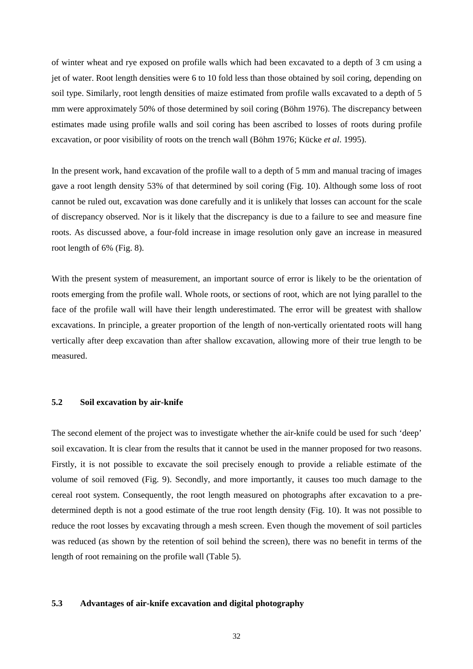of winter wheat and rye exposed on profile walls which had been excavated to a depth of 3 cm using a jet of water. Root length densities were 6 to 10 fold less than those obtained by soil coring, depending on soil type. Similarly, root length densities of maize estimated from profile walls excavated to a depth of 5 mm were approximately 50% of those determined by soil coring (Böhm 1976). The discrepancy between estimates made using profile walls and soil coring has been ascribed to losses of roots during profile excavation, or poor visibility of roots on the trench wall (Böhm 1976; Kücke *et al*. 1995).

In the present work, hand excavation of the profile wall to a depth of 5 mm and manual tracing of images gave a root length density 53% of that determined by soil coring (Fig. 10). Although some loss of root cannot be ruled out, excavation was done carefully and it is unlikely that losses can account for the scale of discrepancy observed. Nor is it likely that the discrepancy is due to a failure to see and measure fine roots. As discussed above, a four-fold increase in image resolution only gave an increase in measured root length of 6% (Fig. 8).

With the present system of measurement, an important source of error is likely to be the orientation of roots emerging from the profile wall. Whole roots, or sections of root, which are not lying parallel to the face of the profile wall will have their length underestimated. The error will be greatest with shallow excavations. In principle, a greater proportion of the length of non-vertically orientated roots will hang vertically after deep excavation than after shallow excavation, allowing more of their true length to be measured.

#### **5.2 Soil excavation by air-knife**

The second element of the project was to investigate whether the air-knife could be used for such 'deep' soil excavation. It is clear from the results that it cannot be used in the manner proposed for two reasons. Firstly, it is not possible to excavate the soil precisely enough to provide a reliable estimate of the volume of soil removed (Fig. 9). Secondly, and more importantly, it causes too much damage to the cereal root system. Consequently, the root length measured on photographs after excavation to a predetermined depth is not a good estimate of the true root length density (Fig. 10). It was not possible to reduce the root losses by excavating through a mesh screen. Even though the movement of soil particles was reduced (as shown by the retention of soil behind the screen), there was no benefit in terms of the length of root remaining on the profile wall (Table 5).

## **5.3 Advantages of air-knife excavation and digital photography**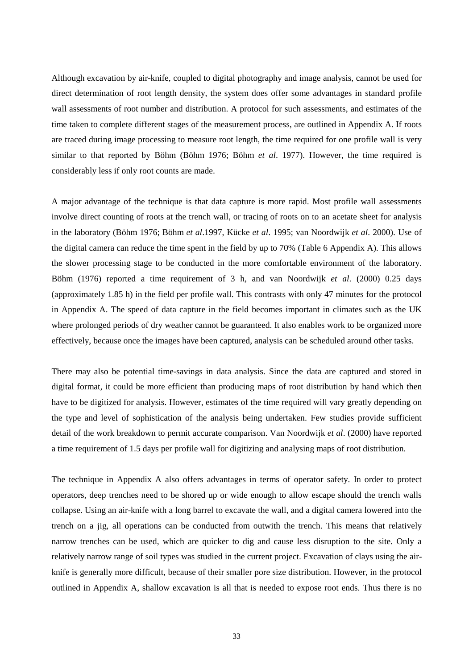Although excavation by air-knife, coupled to digital photography and image analysis, cannot be used for direct determination of root length density, the system does offer some advantages in standard profile wall assessments of root number and distribution. A protocol for such assessments, and estimates of the time taken to complete different stages of the measurement process, are outlined in Appendix A. If roots are traced during image processing to measure root length, the time required for one profile wall is very similar to that reported by Böhm (Böhm 1976; Böhm *et al*. 1977). However, the time required is considerably less if only root counts are made.

A major advantage of the technique is that data capture is more rapid. Most profile wall assessments involve direct counting of roots at the trench wall, or tracing of roots on to an acetate sheet for analysis in the laboratory (Böhm 1976; Böhm *et al*.1997, Kücke *et al*. 1995; van Noordwijk *et al*. 2000). Use of the digital camera can reduce the time spent in the field by up to 70% (Table 6 Appendix A). This allows the slower processing stage to be conducted in the more comfortable environment of the laboratory. Böhm (1976) reported a time requirement of 3 h, and van Noordwijk *et al*. (2000) 0.25 days (approximately 1.85 h) in the field per profile wall. This contrasts with only 47 minutes for the protocol in Appendix A. The speed of data capture in the field becomes important in climates such as the UK where prolonged periods of dry weather cannot be guaranteed. It also enables work to be organized more effectively, because once the images have been captured, analysis can be scheduled around other tasks.

There may also be potential time-savings in data analysis. Since the data are captured and stored in digital format, it could be more efficient than producing maps of root distribution by hand which then have to be digitized for analysis. However, estimates of the time required will vary greatly depending on the type and level of sophistication of the analysis being undertaken. Few studies provide sufficient detail of the work breakdown to permit accurate comparison. Van Noordwijk *et al*. (2000) have reported a time requirement of 1.5 days per profile wall for digitizing and analysing maps of root distribution.

The technique in Appendix A also offers advantages in terms of operator safety. In order to protect operators, deep trenches need to be shored up or wide enough to allow escape should the trench walls collapse. Using an air-knife with a long barrel to excavate the wall, and a digital camera lowered into the trench on a jig, all operations can be conducted from outwith the trench. This means that relatively narrow trenches can be used, which are quicker to dig and cause less disruption to the site. Only a relatively narrow range of soil types was studied in the current project. Excavation of clays using the airknife is generally more difficult, because of their smaller pore size distribution. However, in the protocol outlined in Appendix A, shallow excavation is all that is needed to expose root ends. Thus there is no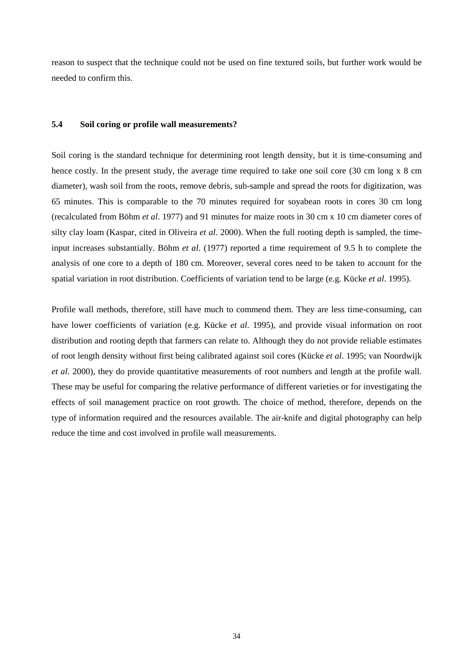reason to suspect that the technique could not be used on fine textured soils, but further work would be needed to confirm this.

#### **5.4 Soil coring or profile wall measurements?**

Soil coring is the standard technique for determining root length density, but it is time-consuming and hence costly. In the present study, the average time required to take one soil core (30 cm long x 8 cm diameter), wash soil from the roots, remove debris, sub-sample and spread the roots for digitization, was 65 minutes. This is comparable to the 70 minutes required for soyabean roots in cores 30 cm long (recalculated from Böhm *et al*. 1977) and 91 minutes for maize roots in 30 cm x 10 cm diameter cores of silty clay loam (Kaspar, cited in Oliveira *et al*. 2000). When the full rooting depth is sampled, the timeinput increases substantially. Böhm *et al*. (1977) reported a time requirement of 9.5 h to complete the analysis of one core to a depth of 180 cm. Moreover, several cores need to be taken to account for the spatial variation in root distribution. Coefficients of variation tend to be large (e.g. Kücke *et al*. 1995).

Profile wall methods, therefore, still have much to commend them. They are less time-consuming, can have lower coefficients of variation (e.g. Kücke *et al*. 1995), and provide visual information on root distribution and rooting depth that farmers can relate to. Although they do not provide reliable estimates of root length density without first being calibrated against soil cores (Kücke *et al*. 1995; van Noordwijk *et al*. 2000), they do provide quantitative measurements of root numbers and length at the profile wall. These may be useful for comparing the relative performance of different varieties or for investigating the effects of soil management practice on root growth. The choice of method, therefore, depends on the type of information required and the resources available. The air-knife and digital photography can help reduce the time and cost involved in profile wall measurements.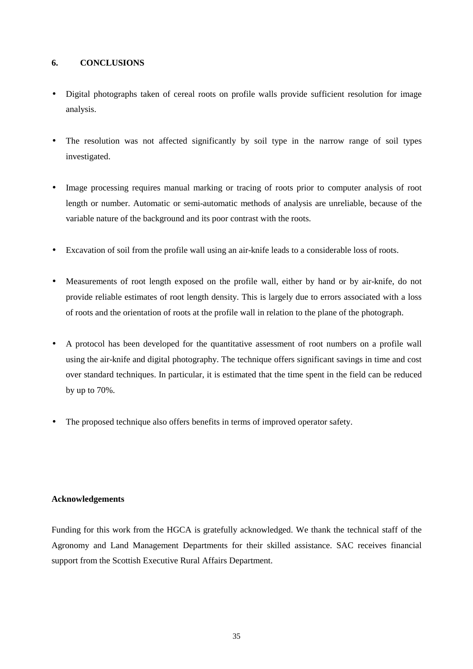## **6. CONCLUSIONS**

- Digital photographs taken of cereal roots on profile walls provide sufficient resolution for image analysis.
- The resolution was not affected significantly by soil type in the narrow range of soil types investigated.
- Image processing requires manual marking or tracing of roots prior to computer analysis of root length or number. Automatic or semi-automatic methods of analysis are unreliable, because of the variable nature of the background and its poor contrast with the roots.
- Excavation of soil from the profile wall using an air-knife leads to a considerable loss of roots.
- Measurements of root length exposed on the profile wall, either by hand or by air-knife, do not provide reliable estimates of root length density. This is largely due to errors associated with a loss of roots and the orientation of roots at the profile wall in relation to the plane of the photograph.
- A protocol has been developed for the quantitative assessment of root numbers on a profile wall using the air-knife and digital photography. The technique offers significant savings in time and cost over standard techniques. In particular, it is estimated that the time spent in the field can be reduced by up to 70%.
- The proposed technique also offers benefits in terms of improved operator safety.

## **Acknowledgements**

Funding for this work from the HGCA is gratefully acknowledged. We thank the technical staff of the Agronomy and Land Management Departments for their skilled assistance. SAC receives financial support from the Scottish Executive Rural Affairs Department.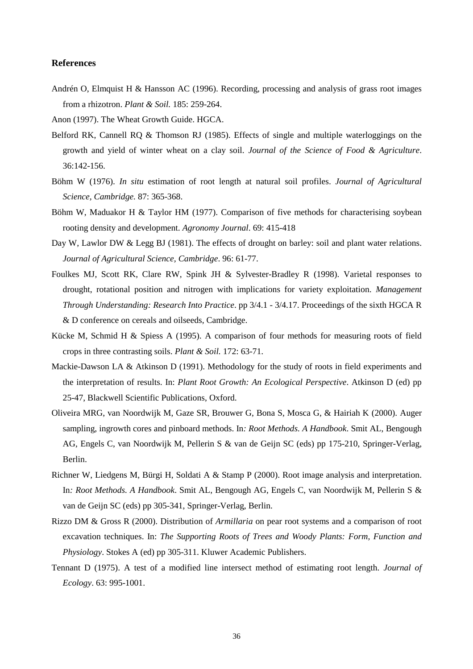## **References**

Andrén O, Elmquist H & Hansson AC (1996). Recording, processing and analysis of grass root images from a rhizotron. *Plant & Soil.* 185: 259-264.

Anon (1997). The Wheat Growth Guide. HGCA.

- Belford RK, Cannell RQ & Thomson RJ (1985). Effects of single and multiple waterloggings on the growth and yield of winter wheat on a clay soil. *Journal of the Science of Food & Agriculture*. 36:142-156.
- Böhm W (1976). *In situ* estimation of root length at natural soil profiles. *Journal of Agricultural Science, Cambridge.* 87: 365-368.
- Böhm W, Maduakor H & Taylor HM (1977). Comparison of five methods for characterising soybean rooting density and development. *Agronomy Journal*. 69: 415-418
- Day W, Lawlor DW & Legg BJ (1981). The effects of drought on barley: soil and plant water relations. *Journal of Agricultural Science, Cambridge*. 96: 61-77.
- Foulkes MJ, Scott RK, Clare RW, Spink JH & Sylvester-Bradley R (1998). Varietal responses to drought, rotational position and nitrogen with implications for variety exploitation. *Management Through Understanding: Research Into Practice*. pp 3/4.1 - 3/4.17. Proceedings of the sixth HGCA R & D conference on cereals and oilseeds, Cambridge.
- Kücke M, Schmid H & Spiess A (1995). A comparison of four methods for measuring roots of field crops in three contrasting soils. *Plant & Soil.* 172: 63-71.
- Mackie-Dawson LA & Atkinson D (1991). Methodology for the study of roots in field experiments and the interpretation of results. In: *Plant Root Growth: An Ecological Perspective*. Atkinson D (ed) pp 25-47, Blackwell Scientific Publications, Oxford.
- Oliveira MRG, van Noordwijk M, Gaze SR, Brouwer G, Bona S, Mosca G, & Hairiah K (2000). Auger sampling, ingrowth cores and pinboard methods. In*: Root Methods. A Handbook*. Smit AL, Bengough AG, Engels C, van Noordwijk M, Pellerin S & van de Geijn SC (eds) pp 175-210, Springer-Verlag, Berlin.
- Richner W, Liedgens M, Bürgi H, Soldati A & Stamp P (2000). Root image analysis and interpretation. In*: Root Methods. A Handbook*. Smit AL, Bengough AG, Engels C, van Noordwijk M, Pellerin S & van de Geijn SC (eds) pp 305-341, Springer-Verlag, Berlin.
- Rizzo DM & Gross R (2000). Distribution of *Armillaria* on pear root systems and a comparison of root excavation techniques. In: *The Supporting Roots of Trees and Woody Plants: Form, Function and Physiology*. Stokes A (ed) pp 305-311. Kluwer Academic Publishers.
- Tennant D (1975). A test of a modified line intersect method of estimating root length. *Journal of Ecology*. 63: 995-1001.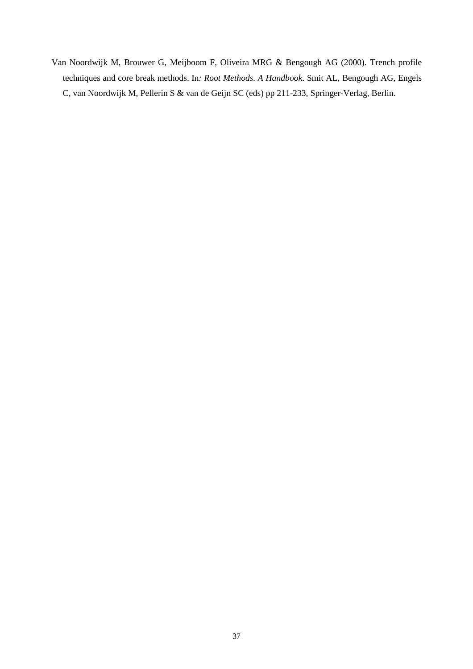Van Noordwijk M, Brouwer G, Meijboom F, Oliveira MRG & Bengough AG (2000). Trench profile techniques and core break methods. In*: Root Methods. A Handbook*. Smit AL, Bengough AG, Engels C, van Noordwijk M, Pellerin S & van de Geijn SC (eds) pp 211-233, Springer-Verlag, Berlin.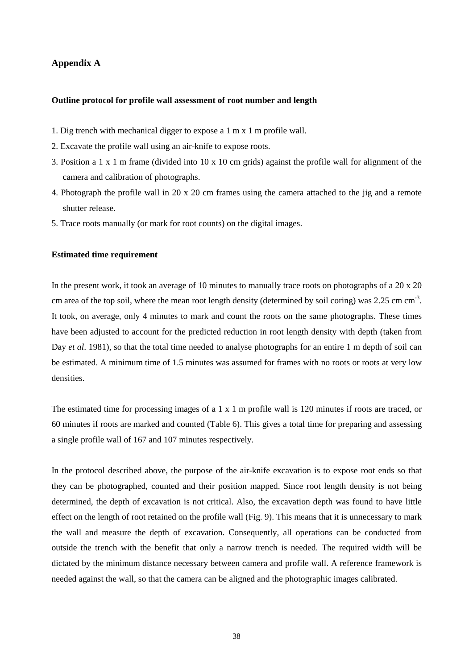# **Appendix A**

#### **Outline protocol for profile wall assessment of root number and length**

- 1. Dig trench with mechanical digger to expose a 1 m x 1 m profile wall.
- 2. Excavate the profile wall using an air-knife to expose roots.
- 3. Position a 1 x 1 m frame (divided into 10 x 10 cm grids) against the profile wall for alignment of the camera and calibration of photographs.
- 4. Photograph the profile wall in 20 x 20 cm frames using the camera attached to the jig and a remote shutter release.
- 5. Trace roots manually (or mark for root counts) on the digital images.

### **Estimated time requirement**

In the present work, it took an average of 10 minutes to manually trace roots on photographs of a 20 x 20 cm area of the top soil, where the mean root length density (determined by soil coring) was 2.25 cm cm-3. It took, on average, only 4 minutes to mark and count the roots on the same photographs. These times have been adjusted to account for the predicted reduction in root length density with depth (taken from Day *et al.* 1981), so that the total time needed to analyse photographs for an entire 1 m depth of soil can be estimated. A minimum time of 1.5 minutes was assumed for frames with no roots or roots at very low densities.

The estimated time for processing images of a 1 x 1 m profile wall is 120 minutes if roots are traced, or 60 minutes if roots are marked and counted (Table 6). This gives a total time for preparing and assessing a single profile wall of 167 and 107 minutes respectively.

In the protocol described above, the purpose of the air-knife excavation is to expose root ends so that they can be photographed, counted and their position mapped. Since root length density is not being determined, the depth of excavation is not critical. Also, the excavation depth was found to have little effect on the length of root retained on the profile wall (Fig. 9). This means that it is unnecessary to mark the wall and measure the depth of excavation. Consequently, all operations can be conducted from outside the trench with the benefit that only a narrow trench is needed. The required width will be dictated by the minimum distance necessary between camera and profile wall. A reference framework is needed against the wall, so that the camera can be aligned and the photographic images calibrated.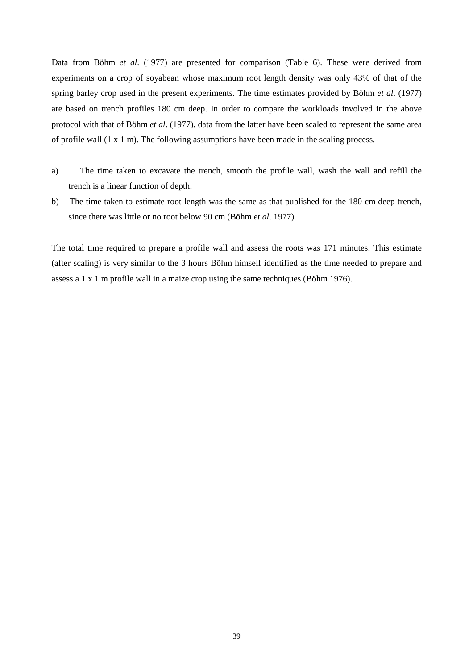Data from Böhm *et al*. (1977) are presented for comparison (Table 6). These were derived from experiments on a crop of soyabean whose maximum root length density was only 43% of that of the spring barley crop used in the present experiments. The time estimates provided by Böhm *et al*. (1977) are based on trench profiles 180 cm deep. In order to compare the workloads involved in the above protocol with that of Böhm *et al*. (1977), data from the latter have been scaled to represent the same area of profile wall  $(1 \times 1 \text{ m})$ . The following assumptions have been made in the scaling process.

- a) The time taken to excavate the trench, smooth the profile wall, wash the wall and refill the trench is a linear function of depth.
- b) The time taken to estimate root length was the same as that published for the 180 cm deep trench, since there was little or no root below 90 cm (Böhm *et al*. 1977).

The total time required to prepare a profile wall and assess the roots was 171 minutes. This estimate (after scaling) is very similar to the 3 hours Böhm himself identified as the time needed to prepare and assess a 1 x 1 m profile wall in a maize crop using the same techniques (Böhm 1976).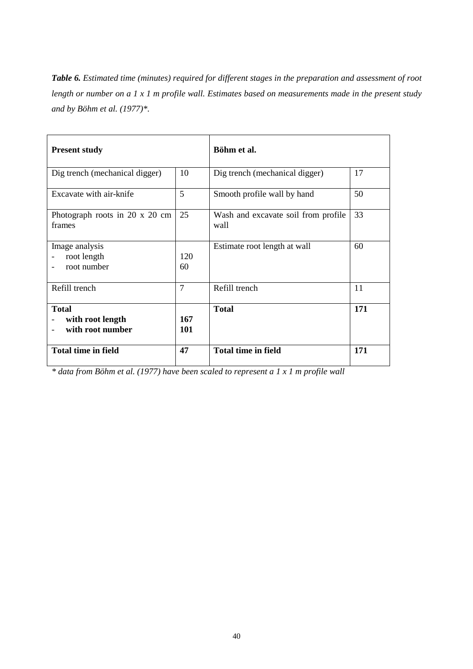*Table 6. Estimated time (minutes) required for different stages in the preparation and assessment of root length or number on a 1 x 1 m profile wall. Estimates based on measurements made in the present study and by Böhm et al. (1977)\*.*

| <b>Present study</b>                                 |                   | Böhm et al.                                 |     |
|------------------------------------------------------|-------------------|---------------------------------------------|-----|
| Dig trench (mechanical digger)                       | 10                | Dig trench (mechanical digger)              | 17  |
| Excavate with air-knife                              | 5                 | Smooth profile wall by hand                 | 50  |
| Photograph roots in 20 x 20 cm<br>frames             | 25                | Wash and excavate soil from profile<br>wall | 33  |
| Image analysis<br>root length<br>root number         | 120<br>60         | Estimate root length at wall                | 60  |
| Refill trench                                        | $\overline{7}$    | Refill trench                               | 11  |
| <b>Total</b><br>with root length<br>with root number | 167<br><b>101</b> | <b>Total</b>                                | 171 |
| <b>Total time in field</b>                           | 47                | <b>Total time in field</b>                  | 171 |

*\* data from Böhm et al. (1977) have been scaled to represent a 1 x 1 m profile wall*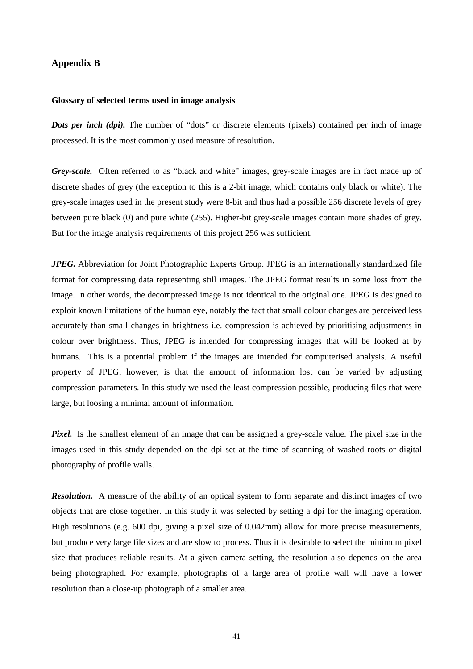## **Appendix B**

#### **Glossary of selected terms used in image analysis**

*Dots per inch (dpi).* The number of "dots" or discrete elements (pixels) contained per inch of image processed. It is the most commonly used measure of resolution.

*Grey-scale.* Often referred to as "black and white" images, grey-scale images are in fact made up of discrete shades of grey (the exception to this is a 2-bit image, which contains only black or white). The grey-scale images used in the present study were 8-bit and thus had a possible 256 discrete levels of grey between pure black (0) and pure white (255). Higher-bit grey-scale images contain more shades of grey. But for the image analysis requirements of this project 256 was sufficient.

*JPEG.* Abbreviation for Joint Photographic Experts Group. JPEG is an internationally standardized file format for compressing data representing still images. The JPEG format results in some loss from the image. In other words, the decompressed image is not identical to the original one. JPEG is designed to exploit known limitations of the human eye, notably the fact that small colour changes are perceived less accurately than small changes in brightness i.e. compression is achieved by prioritising adjustments in colour over brightness. Thus, JPEG is intended for compressing images that will be looked at by humans. This is a potential problem if the images are intended for computerised analysis. A useful property of JPEG, however, is that the amount of information lost can be varied by adjusting compression parameters. In this study we used the least compression possible, producing files that were large, but loosing a minimal amount of information.

*Pixel.* Is the smallest element of an image that can be assigned a grey-scale value. The pixel size in the images used in this study depended on the dpi set at the time of scanning of washed roots or digital photography of profile walls.

*Resolution.* A measure of the ability of an optical system to form separate and distinct images of two objects that are close together. In this study it was selected by setting a dpi for the imaging operation. High resolutions (e.g. 600 dpi, giving a pixel size of 0.042mm) allow for more precise measurements, but produce very large file sizes and are slow to process. Thus it is desirable to select the minimum pixel size that produces reliable results. At a given camera setting, the resolution also depends on the area being photographed. For example, photographs of a large area of profile wall will have a lower resolution than a close-up photograph of a smaller area.